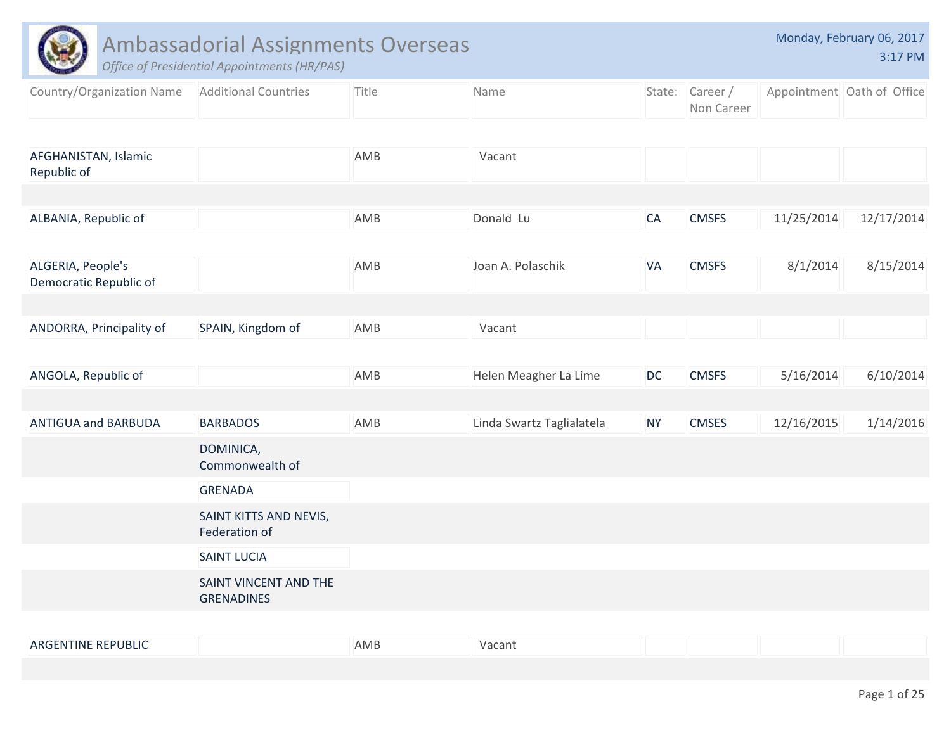|                                             | <b>Ambassadorial Assignments Overseas</b><br><b>Office of Presidential Appointments (HR/PAS)</b> |       |                           |           |                              |            | Monday, February 06, 2017<br>3:17 PM |
|---------------------------------------------|--------------------------------------------------------------------------------------------------|-------|---------------------------|-----------|------------------------------|------------|--------------------------------------|
| Country/Organization Name                   | <b>Additional Countries</b>                                                                      | Title | Name                      |           | State: Career/<br>Non Career |            | Appointment Oath of Office           |
| AFGHANISTAN, Islamic                        |                                                                                                  | AMB   | Vacant                    |           |                              |            |                                      |
| Republic of                                 |                                                                                                  |       |                           |           |                              |            |                                      |
| ALBANIA, Republic of                        |                                                                                                  | AMB   | Donald Lu                 | CA        | <b>CMSFS</b>                 | 11/25/2014 | 12/17/2014                           |
| ALGERIA, People's<br>Democratic Republic of |                                                                                                  | AMB   | Joan A. Polaschik         | VA        | <b>CMSFS</b>                 | 8/1/2014   | 8/15/2014                            |
|                                             |                                                                                                  |       |                           |           |                              |            |                                      |
| ANDORRA, Principality of                    | SPAIN, Kingdom of                                                                                | AMB   | Vacant                    |           |                              |            |                                      |
| ANGOLA, Republic of                         |                                                                                                  | AMB   | Helen Meagher La Lime     | DC        | <b>CMSFS</b>                 | 5/16/2014  | 6/10/2014                            |
| <b>ANTIGUA and BARBUDA</b>                  | <b>BARBADOS</b>                                                                                  | AMB   | Linda Swartz Taglialatela | <b>NY</b> | <b>CMSES</b>                 | 12/16/2015 | 1/14/2016                            |
|                                             | DOMINICA,<br>Commonwealth of                                                                     |       |                           |           |                              |            |                                      |
|                                             | <b>GRENADA</b>                                                                                   |       |                           |           |                              |            |                                      |
|                                             | SAINT KITTS AND NEVIS,<br>Federation of                                                          |       |                           |           |                              |            |                                      |
|                                             | <b>SAINT LUCIA</b>                                                                               |       |                           |           |                              |            |                                      |
|                                             | SAINT VINCENT AND THE<br><b>GRENADINES</b>                                                       |       |                           |           |                              |            |                                      |
|                                             |                                                                                                  |       |                           |           |                              |            |                                      |

|  | <b>ARGENTINE REPUBLIC</b> | AMB | Vacant |  |  |  |
|--|---------------------------|-----|--------|--|--|--|
|--|---------------------------|-----|--------|--|--|--|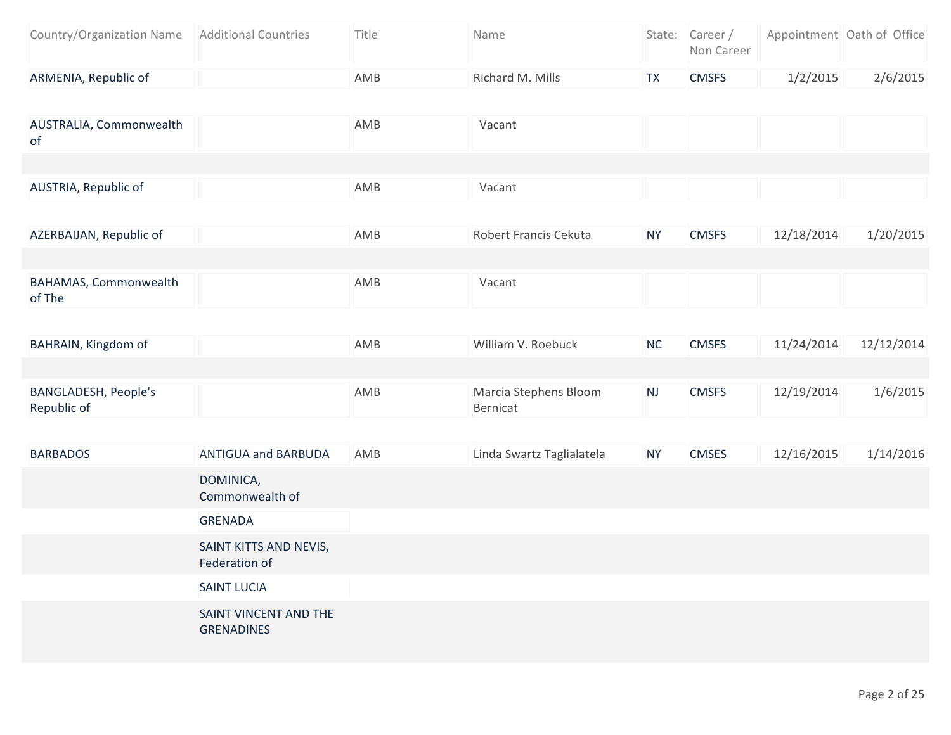| Country/Organization Name   Additional Countries | Title | <b>Name</b>      | State: Career/<br>Non Career |          | Appointment Oath of Office |
|--------------------------------------------------|-------|------------------|------------------------------|----------|----------------------------|
| ARMENIA, Republic of                             | AMB   | Richard M. Mills | <b>CMSFS</b>                 | 1/2/2015 | 2/6/2015                   |

| AUSTRALIA, Commonwealth<br>of              |                     | AMB         | Vacant                            |            |               |            |             |
|--------------------------------------------|---------------------|-------------|-----------------------------------|------------|---------------|------------|-------------|
|                                            |                     |             |                                   |            |               |            |             |
| AUSTRIA, Republic of                       |                     | AMB         | Vacant                            |            |               |            |             |
|                                            |                     |             |                                   |            |               |            |             |
| AZERBAIJAN, Republic of                    |                     | AMB         | Robert Francis Cekuta             | <b>NY</b>  | <b>CMSFS</b>  | 12/18/2014 | 1/20/2015   |
|                                            |                     |             |                                   |            |               |            |             |
| BAHAMAS, Commonwealth<br>of The            |                     | AMB         | Vacant                            |            |               |            |             |
|                                            |                     |             |                                   |            |               |            |             |
| BAHRAIN, Kingdom of                        |                     | AMB         | William V. Roebuck                | <b>NC</b>  | <b>CMSFS</b>  | 11/24/2014 | 12/12/2014  |
|                                            |                     |             |                                   |            |               |            |             |
| <b>BANGLADESH, People's</b><br>Republic of |                     | AMB         | Marcia Stephens Bloom<br>Bernicat | NJ         | <b>CMSFS</b>  | 12/19/2014 | 1/6/2015    |
|                                            |                     |             |                                   |            |               |            |             |
| RARRADOS                                   | ANTIGUA and RARRUDA | <b>ANAR</b> | Linda Swartz Taglialatela         | <b>NIV</b> | <b>CAACES</b> | 12/16/2015 | $1/11/2016$ |

| <b>BARBADOS</b> | <b>ANTIGUA and BARBUDA</b>                 | AMB | Linda Swartz Taglialatela | <b>NY</b> | <b>CMSES</b> | 12/16/2015 | 1/14/2016 |
|-----------------|--------------------------------------------|-----|---------------------------|-----------|--------------|------------|-----------|
|                 | DOMINICA,<br>Commonwealth of               |     |                           |           |              |            |           |
|                 | <b>GRENADA</b>                             |     |                           |           |              |            |           |
|                 | SAINT KITTS AND NEVIS,<br>Federation of    |     |                           |           |              |            |           |
|                 | <b>SAINT LUCIA</b>                         |     |                           |           |              |            |           |
|                 | SAINT VINCENT AND THE<br><b>GRENADINES</b> |     |                           |           |              |            |           |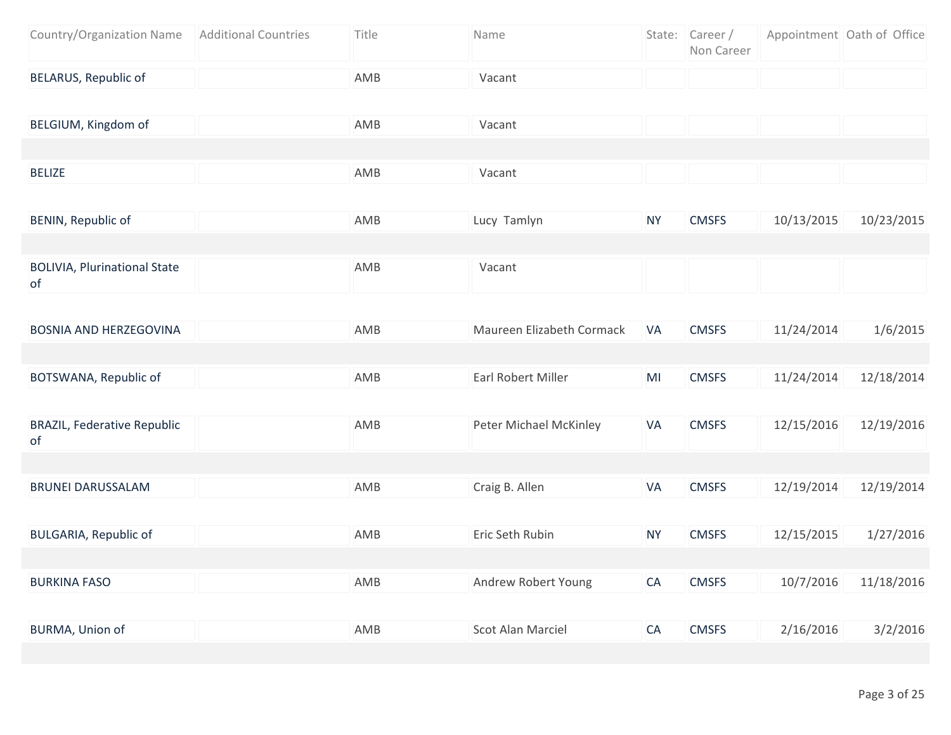| Country/Organization Name   Additional Countries | Title | Name   | State: Career/<br>Non Career | Appointment Oath of Office |  |
|--------------------------------------------------|-------|--------|------------------------------|----------------------------|--|
| BELARUS, Republic of                             | AMB   | Vacant |                              |                            |  |

| BELGIUM, Kingdom of | AMB | Vacant |  |  |
|---------------------|-----|--------|--|--|
|                     |     |        |  |  |
| <b>BELIZE</b>       | AMB | Vacant |  |  |
|                     |     |        |  |  |

| BENIN, Republic of                         | AMB | Lucy Tamlyn | <b>NY</b> | <b>CMSFS</b> | 10/13/2015 | 10/23/2015 |
|--------------------------------------------|-----|-------------|-----------|--------------|------------|------------|
|                                            |     |             |           |              |            |            |
| <b>BOLIVIA, Plurinational State</b><br>-of | AMB | Vacant      |           |              |            |            |

| BOSNIA AND HERZEGOVINA | AMB | Maureen Elizabeth Cormack<br>-VA | <b>CMSFS</b> | 11/24/2014 | 1/6/2015   |
|------------------------|-----|----------------------------------|--------------|------------|------------|
|                        |     |                                  |              |            |            |
| BOTSWANA, Republic of  | AMB | Earl Robert Miller<br>MI         | <b>CMSFS</b> | 11/24/2014 | 12/18/2014 |

| <b>BRAZIL, Federative Republic</b><br>0f | AMB | Peter Michael McKinley   | <b>VA</b> | <b>CMSFS</b> | 12/15/2016 | 12/19/2016 |
|------------------------------------------|-----|--------------------------|-----------|--------------|------------|------------|
|                                          |     |                          |           |              |            |            |
| <b>BRUNEI DARUSSALAM</b>                 | AMB | Craig B. Allen           | <b>VA</b> | <b>CMSFS</b> | 12/19/2014 | 12/19/2014 |
|                                          |     |                          |           |              |            |            |
| <b>BULGARIA, Republic of</b>             | AMB | Eric Seth Rubin          | <b>NY</b> | <b>CMSFS</b> | 12/15/2015 | 1/27/2016  |
|                                          |     |                          |           |              |            |            |
| <b>BURKINA FASO</b>                      | AMB | Andrew Robert Young      | <b>CA</b> | <b>CMSFS</b> | 10/7/2016  | 11/18/2016 |
|                                          |     |                          |           |              |            |            |
| BURMA, Union of                          | AMB | <b>Scot Alan Marciel</b> | <b>CA</b> | <b>CMSFS</b> | 2/16/2016  | 3/2/2016   |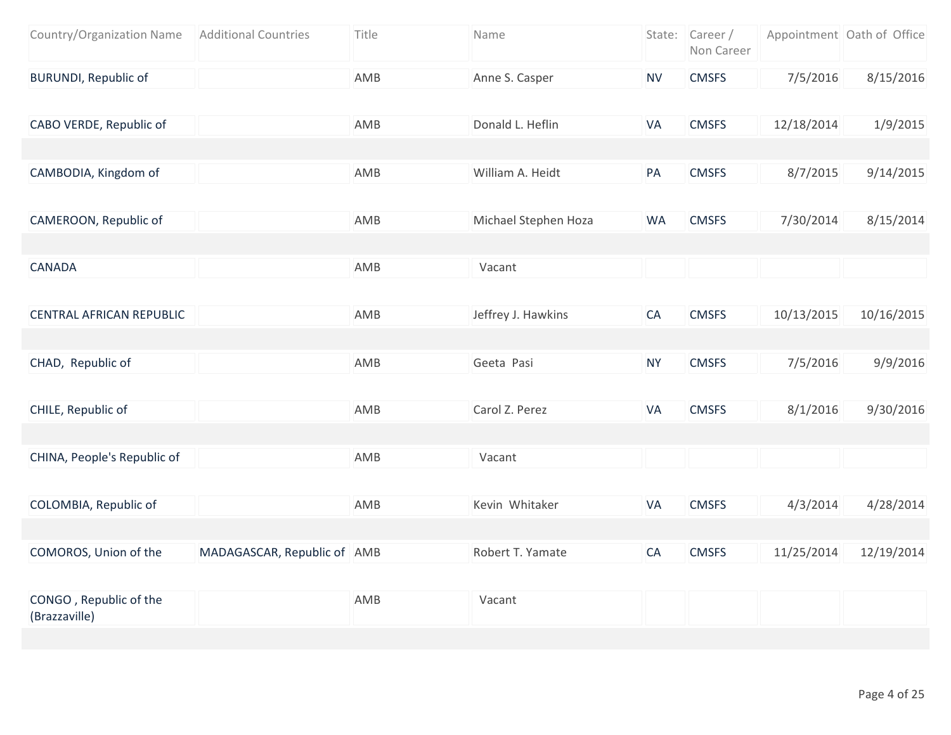| Country/Organization Name               | <b>Additional Countries</b> | Title | Name                 |           | State: Career /<br>Non Career |            | Appointment Oath of Office |
|-----------------------------------------|-----------------------------|-------|----------------------|-----------|-------------------------------|------------|----------------------------|
| <b>BURUNDI, Republic of</b>             |                             | AMB   | Anne S. Casper       | <b>NV</b> | <b>CMSFS</b>                  | 7/5/2016   | 8/15/2016                  |
|                                         |                             |       |                      |           |                               |            |                            |
| CABO VERDE, Republic of                 |                             | AMB   | Donald L. Heflin     | VA        | <b>CMSFS</b>                  | 12/18/2014 | 1/9/2015                   |
|                                         |                             |       |                      |           |                               |            |                            |
| CAMBODIA, Kingdom of                    |                             | AMB   | William A. Heidt     | PA        | <b>CMSFS</b>                  | 8/7/2015   | 9/14/2015                  |
|                                         |                             |       |                      |           |                               |            |                            |
| CAMEROON, Republic of                   |                             | AMB   | Michael Stephen Hoza | <b>WA</b> | <b>CMSFS</b>                  | 7/30/2014  | 8/15/2014                  |
|                                         |                             |       |                      |           |                               |            |                            |
| <b>CANADA</b>                           |                             | AMB   | Vacant               |           |                               |            |                            |
|                                         |                             |       |                      |           |                               |            |                            |
| <b>CENTRAL AFRICAN REPUBLIC</b>         |                             | AMB   | Jeffrey J. Hawkins   | CA        | <b>CMSFS</b>                  | 10/13/2015 | 10/16/2015                 |
|                                         |                             |       |                      |           |                               |            |                            |
| CHAD, Republic of                       |                             | AMB   | Geeta Pasi           | <b>NY</b> | <b>CMSFS</b>                  | 7/5/2016   | 9/9/2016                   |
|                                         |                             |       |                      |           |                               |            |                            |
| CHILE, Republic of                      |                             | AMB   | Carol Z. Perez       | VA        | <b>CMSFS</b>                  | 8/1/2016   | 9/30/2016                  |
|                                         |                             |       |                      |           |                               |            |                            |
| CHINA, People's Republic of             |                             | AMB   | Vacant               |           |                               |            |                            |
|                                         |                             |       |                      |           |                               |            |                            |
| COLOMBIA, Republic of                   |                             | AMB   | Kevin Whitaker       | VA        | <b>CMSFS</b>                  | 4/3/2014   | 4/28/2014                  |
|                                         |                             |       |                      |           |                               |            |                            |
| COMOROS, Union of the                   | MADAGASCAR, Republic of AMB |       | Robert T. Yamate     | CA        | <b>CMSFS</b>                  | 11/25/2014 | 12/19/2014                 |
|                                         |                             |       |                      |           |                               |            |                            |
| CONGO, Republic of the<br>(Brazzaville) |                             | AMB   | Vacant               |           |                               |            |                            |
|                                         |                             |       |                      |           |                               |            |                            |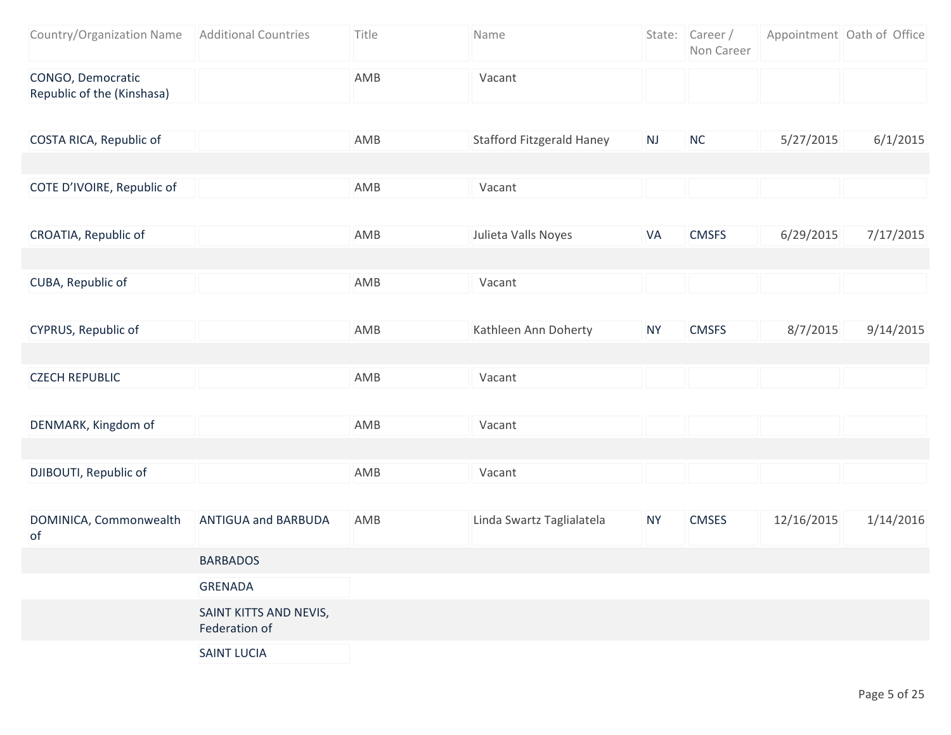| Country/Organization Name                       | <b>Additional Countries</b>             | Title | Name                             |           | State: Career /<br>Non Career |            | Appointment Oath of Office |
|-------------------------------------------------|-----------------------------------------|-------|----------------------------------|-----------|-------------------------------|------------|----------------------------|
| CONGO, Democratic<br>Republic of the (Kinshasa) |                                         | AMB   | Vacant                           |           |                               |            |                            |
| COSTA RICA, Republic of                         |                                         | AMB   | <b>Stafford Fitzgerald Haney</b> | NJ        | NC                            | 5/27/2015  | 6/1/2015                   |
|                                                 |                                         |       |                                  |           |                               |            |                            |
| COTE D'IVOIRE, Republic of                      |                                         | AMB   | Vacant                           |           |                               |            |                            |
| CROATIA, Republic of                            |                                         | AMB   | Julieta Valls Noyes              | VA        | <b>CMSFS</b>                  | 6/29/2015  | 7/17/2015                  |
|                                                 |                                         |       |                                  |           |                               |            |                            |
| CUBA, Republic of                               |                                         | AMB   | Vacant                           |           |                               |            |                            |
| CYPRUS, Republic of                             |                                         | AMB   | Kathleen Ann Doherty             | <b>NY</b> | <b>CMSFS</b>                  | 8/7/2015   | 9/14/2015                  |
|                                                 |                                         |       |                                  |           |                               |            |                            |
| <b>CZECH REPUBLIC</b>                           |                                         | AMB   | Vacant                           |           |                               |            |                            |
|                                                 |                                         |       |                                  |           |                               |            |                            |
| DENMARK, Kingdom of                             |                                         | AMB   | Vacant                           |           |                               |            |                            |
|                                                 |                                         |       |                                  |           |                               |            |                            |
| DJIBOUTI, Republic of                           |                                         | AMB   | Vacant                           |           |                               |            |                            |
|                                                 |                                         |       |                                  |           |                               |            |                            |
| DOMINICA, Commonwealth<br>of                    | <b>ANTIGUA and BARBUDA</b>              | AMB   | Linda Swartz Taglialatela        | <b>NY</b> | <b>CMSES</b>                  | 12/16/2015 | 1/14/2016                  |
|                                                 | <b>BARBADOS</b>                         |       |                                  |           |                               |            |                            |
|                                                 | <b>GRENADA</b>                          |       |                                  |           |                               |            |                            |
|                                                 | SAINT KITTS AND NEVIS,<br>Federation of |       |                                  |           |                               |            |                            |
|                                                 | <b>SAINT LUCIA</b>                      |       |                                  |           |                               |            |                            |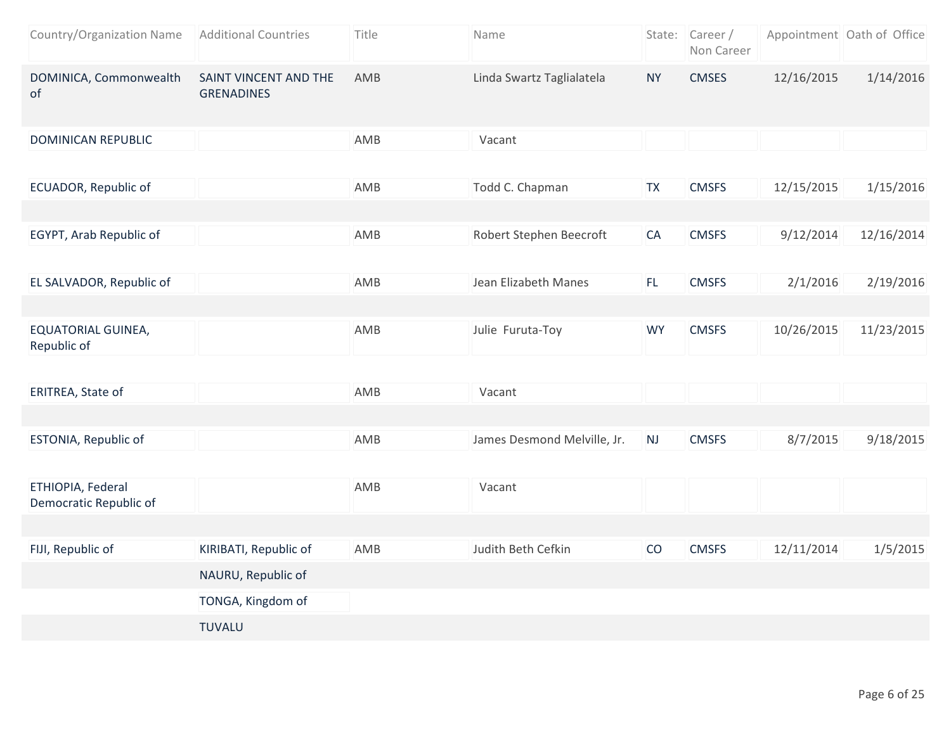| Country/Organization Name                   | <b>Additional Countries</b>                | Title | Name                        |           | State: Career/<br>Non Career |            | Appointment Oath of Office |
|---------------------------------------------|--------------------------------------------|-------|-----------------------------|-----------|------------------------------|------------|----------------------------|
| DOMINICA, Commonwealth<br>of                | SAINT VINCENT AND THE<br><b>GRENADINES</b> | AMB   | Linda Swartz Taglialatela   | <b>NY</b> | <b>CMSES</b>                 | 12/16/2015 | 1/14/2016                  |
| <b>DOMINICAN REPUBLIC</b>                   |                                            | AMB   | Vacant                      |           |                              |            |                            |
| ECUADOR, Republic of                        |                                            | AMB   | Todd C. Chapman             | <b>TX</b> | <b>CMSFS</b>                 | 12/15/2015 | 1/15/2016                  |
| EGYPT, Arab Republic of                     |                                            | AMB   | Robert Stephen Beecroft     | CA        | <b>CMSFS</b>                 | 9/12/2014  | 12/16/2014                 |
| EL SALVADOR, Republic of                    |                                            | AMB   | Jean Elizabeth Manes        | FL.       | <b>CMSFS</b>                 | 2/1/2016   | 2/19/2016                  |
| <b>EQUATORIAL GUINEA,</b><br>Republic of    |                                            | AMB   | Julie Furuta-Toy            | <b>WY</b> | <b>CMSFS</b>                 | 10/26/2015 | 11/23/2015                 |
| ERITREA, State of                           |                                            | AMB   | Vacant                      |           |                              |            |                            |
| ESTONIA, Republic of                        |                                            | AMB   | James Desmond Melville, Jr. | NJ        | <b>CMSFS</b>                 | 8/7/2015   | 9/18/2015                  |
| ETHIOPIA, Federal<br>Democratic Republic of |                                            | AMB   | Vacant                      |           |                              |            |                            |
| FIJI, Republic of                           | KIRIBATI, Republic of                      | AMB   | Judith Beth Cefkin          | CO        | <b>CMSFS</b>                 | 12/11/2014 | 1/5/2015                   |
|                                             | NAURU, Republic of                         |       |                             |           |                              |            |                            |
|                                             | TONGA, Kingdom of                          |       |                             |           |                              |            |                            |
|                                             | <b>TUVALU</b>                              |       |                             |           |                              |            |                            |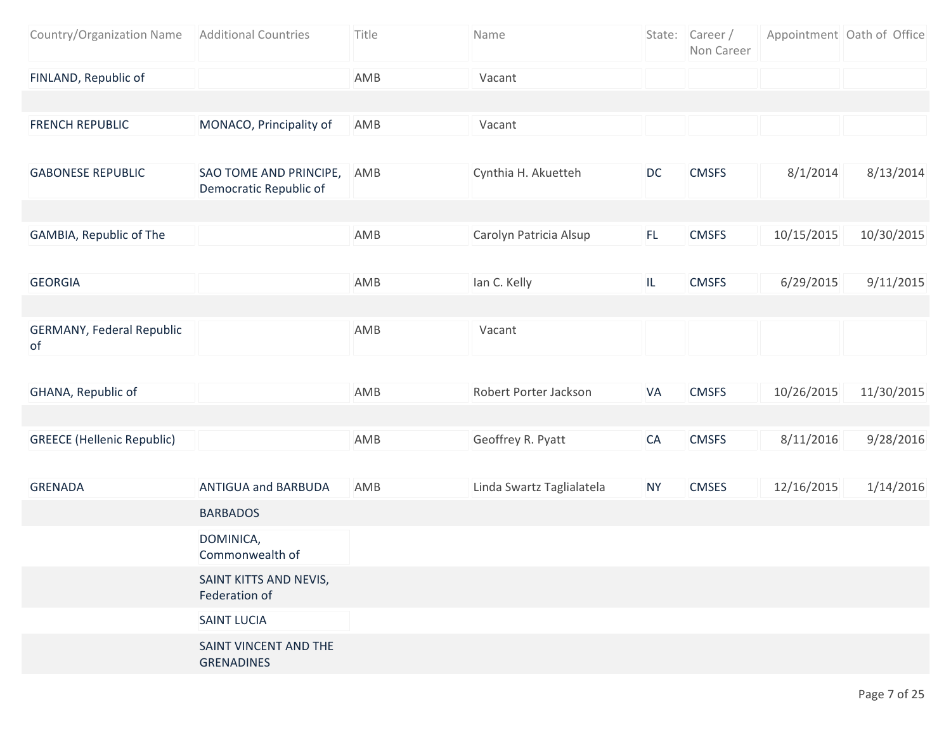| Country/Organization Name              | <b>Additional Countries</b>                      | Title | Name                      |           | State: Career/<br>Non Career |            | Appointment Oath of Office |
|----------------------------------------|--------------------------------------------------|-------|---------------------------|-----------|------------------------------|------------|----------------------------|
| FINLAND, Republic of                   |                                                  | AMB   | Vacant                    |           |                              |            |                            |
|                                        |                                                  |       |                           |           |                              |            |                            |
| <b>FRENCH REPUBLIC</b>                 | MONACO, Principality of                          | AMB   | Vacant                    |           |                              |            |                            |
|                                        |                                                  |       |                           |           |                              |            |                            |
| <b>GABONESE REPUBLIC</b>               | SAO TOME AND PRINCIPE,<br>Democratic Republic of | AMB   | Cynthia H. Akuetteh       | DC        | <b>CMSFS</b>                 | 8/1/2014   | 8/13/2014                  |
|                                        |                                                  |       |                           |           |                              |            |                            |
| GAMBIA, Republic of The                |                                                  | AMB   | Carolyn Patricia Alsup    | FL.       | <b>CMSFS</b>                 | 10/15/2015 | 10/30/2015                 |
|                                        |                                                  |       |                           |           |                              |            |                            |
| <b>GEORGIA</b>                         |                                                  | AMB   | lan C. Kelly              | IL.       | <b>CMSFS</b>                 | 6/29/2015  | 9/11/2015                  |
|                                        |                                                  |       |                           |           |                              |            |                            |
| <b>GERMANY, Federal Republic</b><br>of |                                                  | AMB   | Vacant                    |           |                              |            |                            |
|                                        |                                                  |       |                           |           |                              |            |                            |
| GHANA, Republic of                     |                                                  | AMB   | Robert Porter Jackson     | VA        | <b>CMSFS</b>                 | 10/26/2015 | 11/30/2015                 |
|                                        |                                                  |       |                           |           |                              |            |                            |
| <b>GREECE (Hellenic Republic)</b>      |                                                  | AMB   | Geoffrey R. Pyatt         | CA        | <b>CMSFS</b>                 | 8/11/2016  | 9/28/2016                  |
|                                        |                                                  |       |                           |           |                              |            |                            |
| <b>GRENADA</b>                         | <b>ANTIGUA and BARBUDA</b>                       | AMB   | Linda Swartz Taglialatela | <b>NY</b> | <b>CMSES</b>                 | 12/16/2015 | 1/14/2016                  |
|                                        | <b>BARBADOS</b>                                  |       |                           |           |                              |            |                            |
|                                        | DOMINICA,<br>Commonwealth of                     |       |                           |           |                              |            |                            |
|                                        | SAINT KITTS AND NEVIS,<br>Federation of          |       |                           |           |                              |            |                            |
|                                        | <b>SAINT LUCIA</b>                               |       |                           |           |                              |            |                            |
|                                        | SAINT VINCENT AND THE<br><b>GRENADINES</b>       |       |                           |           |                              |            |                            |
|                                        |                                                  |       |                           |           |                              |            |                            |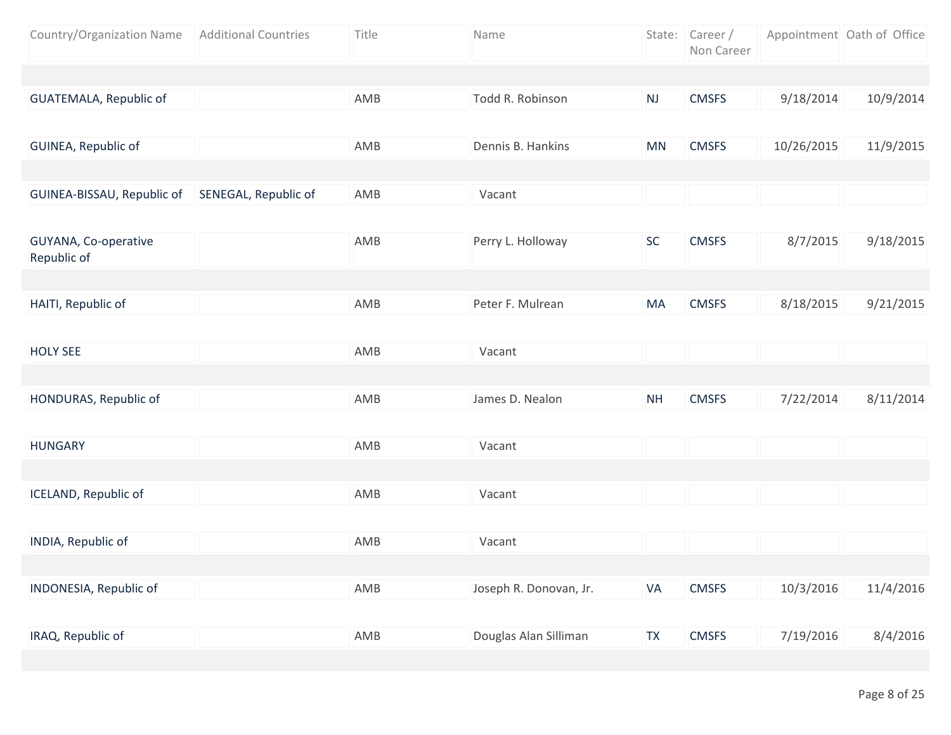| Country/Organization Name           | <b>Additional Countries</b> | Title | Name                   |           | State: Career /<br>Non Career |            | Appointment Oath of Office |
|-------------------------------------|-----------------------------|-------|------------------------|-----------|-------------------------------|------------|----------------------------|
|                                     |                             |       |                        |           |                               |            |                            |
| GUATEMALA, Republic of              |                             | AMB   | Todd R. Robinson       | NJ        | <b>CMSFS</b>                  | 9/18/2014  | 10/9/2014                  |
|                                     |                             |       |                        |           |                               |            |                            |
| GUINEA, Republic of                 |                             | AMB   | Dennis B. Hankins      | MN        | <b>CMSFS</b>                  | 10/26/2015 | 11/9/2015                  |
|                                     |                             |       |                        |           |                               |            |                            |
| GUINEA-BISSAU, Republic of          | SENEGAL, Republic of        | AMB   | Vacant                 |           |                               |            |                            |
|                                     |                             |       |                        |           |                               |            |                            |
| GUYANA, Co-operative<br>Republic of |                             | AMB   | Perry L. Holloway      | <b>SC</b> | <b>CMSFS</b>                  | 8/7/2015   | 9/18/2015                  |
|                                     |                             |       |                        |           |                               |            |                            |
| HAITI, Republic of                  |                             | AMB   | Peter F. Mulrean       | MA        | <b>CMSFS</b>                  | 8/18/2015  | 9/21/2015                  |
|                                     |                             |       |                        |           |                               |            |                            |
| <b>HOLY SEE</b>                     |                             | AMB   | Vacant                 |           |                               |            |                            |
|                                     |                             |       |                        |           |                               |            |                            |
| HONDURAS, Republic of               |                             | AMB   | James D. Nealon        | <b>NH</b> | <b>CMSFS</b>                  | 7/22/2014  | 8/11/2014                  |
|                                     |                             |       |                        |           |                               |            |                            |
| <b>HUNGARY</b>                      |                             | AMB   | Vacant                 |           |                               |            |                            |
|                                     |                             |       |                        |           |                               |            |                            |
| <b>ICELAND, Republic of</b>         |                             | AMB   | Vacant                 |           |                               |            |                            |
|                                     |                             |       |                        |           |                               |            |                            |
| INDIA, Republic of                  |                             | AMB   | Vacant                 |           |                               |            |                            |
|                                     |                             |       |                        |           |                               |            |                            |
| INDONESIA, Republic of              |                             | AMB   | Joseph R. Donovan, Jr. | VA        | <b>CMSFS</b>                  | 10/3/2016  | 11/4/2016                  |
|                                     |                             |       |                        |           |                               |            |                            |
| IRAQ, Republic of                   |                             | AMB   | Douglas Alan Silliman  | <b>TX</b> | <b>CMSFS</b>                  | 7/19/2016  | 8/4/2016                   |
|                                     |                             |       |                        |           |                               |            |                            |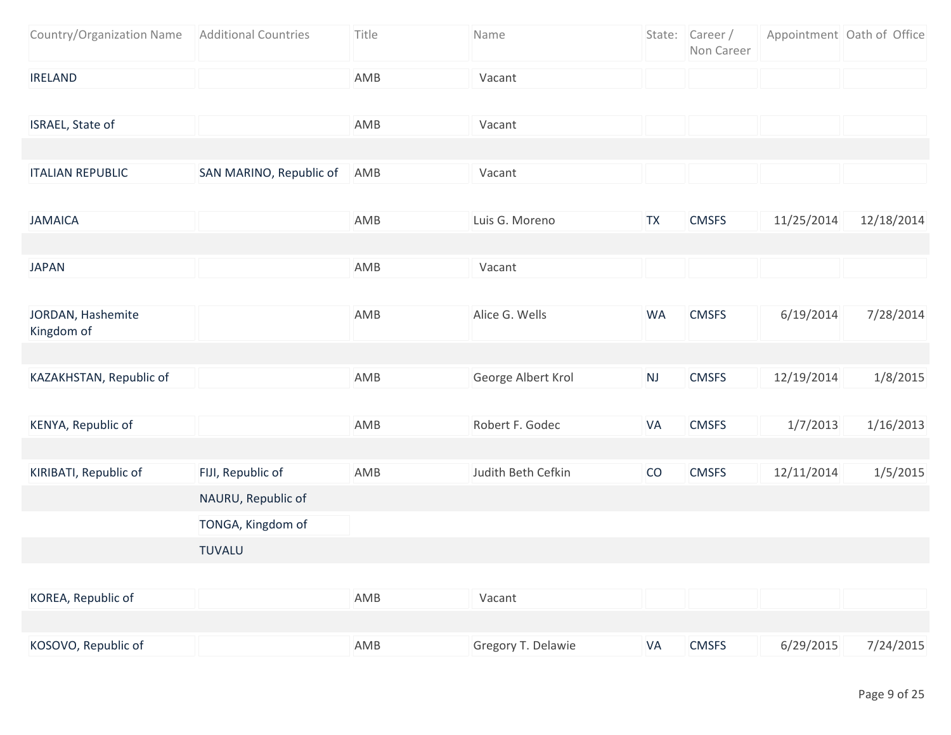| Country/Organization Name       | <b>Additional Countries</b> | Title | Name               |           | State: Career /<br>Non Career |            | Appointment Oath of Office |
|---------------------------------|-----------------------------|-------|--------------------|-----------|-------------------------------|------------|----------------------------|
| <b>IRELAND</b>                  |                             | AMB   | Vacant             |           |                               |            |                            |
|                                 |                             |       |                    |           |                               |            |                            |
| ISRAEL, State of                |                             | AMB   | Vacant             |           |                               |            |                            |
|                                 |                             |       |                    |           |                               |            |                            |
| <b>ITALIAN REPUBLIC</b>         | SAN MARINO, Republic of     | AMB   | Vacant             |           |                               |            |                            |
|                                 |                             |       |                    |           |                               |            |                            |
| <b>JAMAICA</b>                  |                             | AMB   | Luis G. Moreno     | <b>TX</b> | <b>CMSFS</b>                  | 11/25/2014 | 12/18/2014                 |
|                                 |                             |       |                    |           |                               |            |                            |
| <b>JAPAN</b>                    |                             | AMB   | Vacant             |           |                               |            |                            |
|                                 |                             |       |                    |           |                               |            |                            |
| JORDAN, Hashemite<br>Kingdom of |                             | AMB   | Alice G. Wells     | <b>WA</b> | <b>CMSFS</b>                  | 6/19/2014  | 7/28/2014                  |
|                                 |                             |       |                    |           |                               |            |                            |
| KAZAKHSTAN, Republic of         |                             | AMB   | George Albert Krol | NJ        | <b>CMSFS</b>                  | 12/19/2014 | 1/8/2015                   |
|                                 |                             |       |                    |           |                               |            |                            |
| KENYA, Republic of              |                             | AMB   | Robert F. Godec    | VA        | <b>CMSFS</b>                  | 1/7/2013   | 1/16/2013                  |
|                                 |                             |       |                    |           |                               |            |                            |
| KIRIBATI, Republic of           | FIJI, Republic of           | AMB   | Judith Beth Cefkin | CO        | <b>CMSFS</b>                  | 12/11/2014 | 1/5/2015                   |
|                                 | NAURU, Republic of          |       |                    |           |                               |            |                            |
|                                 | TONGA, Kingdom of           |       |                    |           |                               |            |                            |
|                                 | <b>TUVALU</b>               |       |                    |           |                               |            |                            |
|                                 |                             |       |                    |           |                               |            |                            |
| KOREA, Republic of              |                             | AMB   | Vacant             |           |                               |            |                            |
|                                 |                             |       |                    |           |                               |            |                            |
| KOSOVO, Republic of             |                             | AMB   | Gregory T. Delawie | VA        | <b>CMSFS</b>                  | 6/29/2015  | 7/24/2015                  |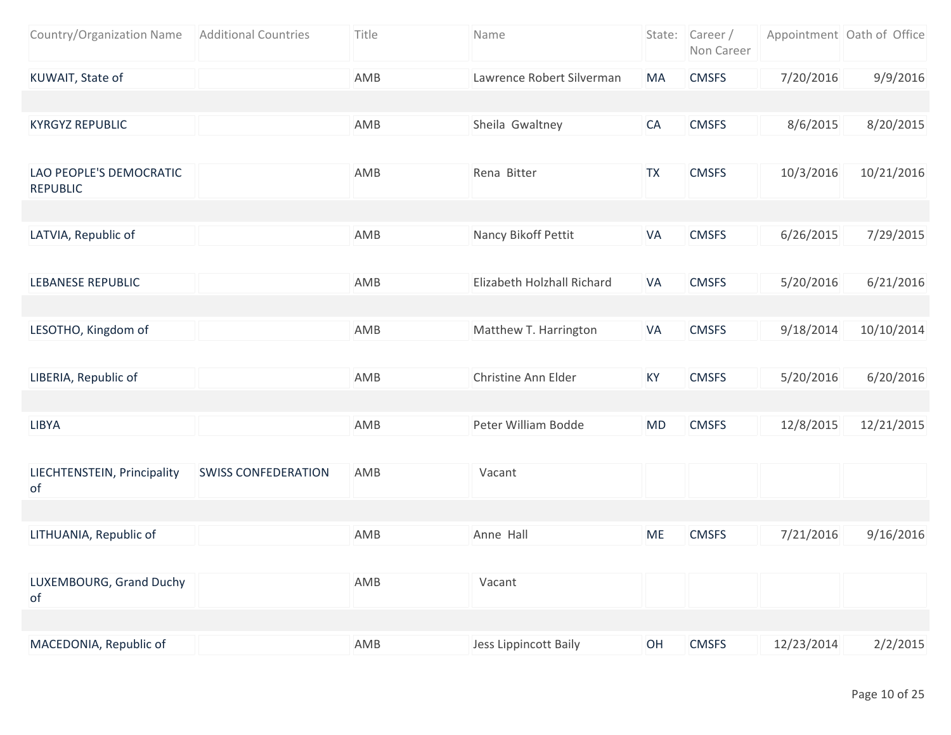| Country/Organization Name                  | <b>Additional Countries</b> | Title | Name                       |           | State: Career/<br>Non Career |            | Appointment Oath of Office |
|--------------------------------------------|-----------------------------|-------|----------------------------|-----------|------------------------------|------------|----------------------------|
| KUWAIT, State of                           |                             | AMB   | Lawrence Robert Silverman  | <b>MA</b> | <b>CMSFS</b>                 | 7/20/2016  | 9/9/2016                   |
|                                            |                             |       |                            |           |                              |            |                            |
| <b>KYRGYZ REPUBLIC</b>                     |                             | AMB   | Sheila Gwaltney            | CA        | <b>CMSFS</b>                 | 8/6/2015   | 8/20/2015                  |
|                                            |                             |       |                            |           |                              |            |                            |
| LAO PEOPLE'S DEMOCRATIC<br><b>REPUBLIC</b> |                             | AMB   | Rena Bitter                | <b>TX</b> | <b>CMSFS</b>                 | 10/3/2016  | 10/21/2016                 |
|                                            |                             |       |                            |           |                              |            |                            |
| LATVIA, Republic of                        |                             | AMB   | Nancy Bikoff Pettit        | <b>VA</b> | <b>CMSFS</b>                 | 6/26/2015  | 7/29/2015                  |
|                                            |                             |       |                            |           |                              |            |                            |
| <b>LEBANESE REPUBLIC</b>                   |                             | AMB   | Elizabeth Holzhall Richard | <b>VA</b> | <b>CMSFS</b>                 | 5/20/2016  | 6/21/2016                  |
|                                            |                             |       |                            |           |                              |            |                            |
| LESOTHO, Kingdom of                        |                             | AMB   | Matthew T. Harrington      | <b>VA</b> | <b>CMSFS</b>                 | 9/18/2014  | 10/10/2014                 |
| LIBERIA, Republic of                       |                             | AMB   | Christine Ann Elder        | KY        | <b>CMSFS</b>                 | 5/20/2016  | 6/20/2016                  |
|                                            |                             |       |                            |           |                              |            |                            |
| LIBYA                                      |                             | AMB   | Peter William Bodde        | MD        | <b>CMSFS</b>                 | 12/8/2015  | 12/21/2015                 |
|                                            |                             |       |                            |           |                              |            |                            |
| LIECHTENSTEIN, Principality<br>of          | <b>SWISS CONFEDERATION</b>  | AMB   | Vacant                     |           |                              |            |                            |
|                                            |                             |       |                            |           |                              |            |                            |
| LITHUANIA, Republic of                     |                             | AMB   | Anne Hall                  | <b>ME</b> | <b>CMSFS</b>                 | 7/21/2016  | 9/16/2016                  |
|                                            |                             |       |                            |           |                              |            |                            |
| LUXEMBOURG, Grand Duchy<br>of              |                             | AMB   | Vacant                     |           |                              |            |                            |
|                                            |                             |       |                            |           |                              |            |                            |
| MACEDONIA, Republic of                     |                             | AMB   | Jess Lippincott Baily      | OH        | <b>CMSFS</b>                 | 12/23/2014 | 2/2/2015                   |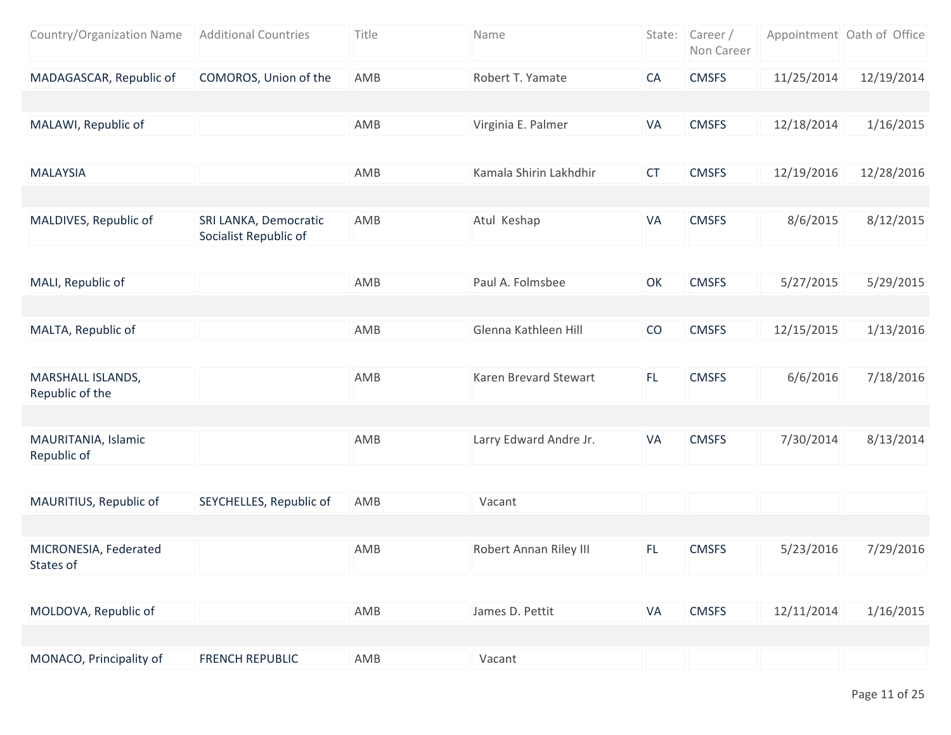| Country/Organization Name            | <b>Additional Countries</b>                    | Title | Name                   |           | State: Career /<br>Non Career |            | Appointment Oath of Office |
|--------------------------------------|------------------------------------------------|-------|------------------------|-----------|-------------------------------|------------|----------------------------|
| MADAGASCAR, Republic of              | COMOROS, Union of the                          | AMB   | Robert T. Yamate       | CA        | <b>CMSFS</b>                  | 11/25/2014 | 12/19/2014                 |
|                                      |                                                |       |                        |           |                               |            |                            |
| MALAWI, Republic of                  |                                                | AMB   | Virginia E. Palmer     | VA        | <b>CMSFS</b>                  | 12/18/2014 | 1/16/2015                  |
|                                      |                                                |       |                        |           |                               |            |                            |
| <b>MALAYSIA</b>                      |                                                | AMB   | Kamala Shirin Lakhdhir | <b>CT</b> | <b>CMSFS</b>                  | 12/19/2016 | 12/28/2016                 |
|                                      |                                                |       |                        |           |                               |            |                            |
| MALDIVES, Republic of                | SRI LANKA, Democratic<br>Socialist Republic of | AMB   | Atul Keshap            | VA        | <b>CMSFS</b>                  | 8/6/2015   | 8/12/2015                  |
|                                      |                                                |       |                        |           |                               |            |                            |
| MALI, Republic of                    |                                                | AMB   | Paul A. Folmsbee       | OK        | <b>CMSFS</b>                  | 5/27/2015  | 5/29/2015                  |
|                                      |                                                |       |                        |           |                               |            |                            |
| MALTA, Republic of                   |                                                | AMB   | Glenna Kathleen Hill   | CO        | <b>CMSFS</b>                  | 12/15/2015 | 1/13/2016                  |
| MARSHALL ISLANDS,<br>Republic of the |                                                | AMB   | Karen Brevard Stewart  | FL.       | <b>CMSFS</b>                  | 6/6/2016   | 7/18/2016                  |
|                                      |                                                |       |                        |           |                               |            |                            |
| MAURITANIA, Islamic<br>Republic of   |                                                | AMB   | Larry Edward Andre Jr. | VA        | <b>CMSFS</b>                  | 7/30/2014  | 8/13/2014                  |
|                                      |                                                |       |                        |           |                               |            |                            |
| MAURITIUS, Republic of               | SEYCHELLES, Republic of                        | AMB   | Vacant                 |           |                               |            |                            |
|                                      |                                                |       |                        |           |                               |            |                            |
| MICRONESIA, Federated<br>States of   |                                                | AMB   | Robert Annan Riley III | FL.       | <b>CMSFS</b>                  | 5/23/2016  | 7/29/2016                  |
|                                      |                                                |       |                        |           |                               |            |                            |
| MOLDOVA, Republic of                 |                                                | AMB   | James D. Pettit        | VA        | <b>CMSFS</b>                  | 12/11/2014 | 1/16/2015                  |
|                                      |                                                |       |                        |           |                               |            |                            |
| MONACO, Principality of              | <b>FRENCH REPUBLIC</b>                         | AMB   | Vacant                 |           |                               |            |                            |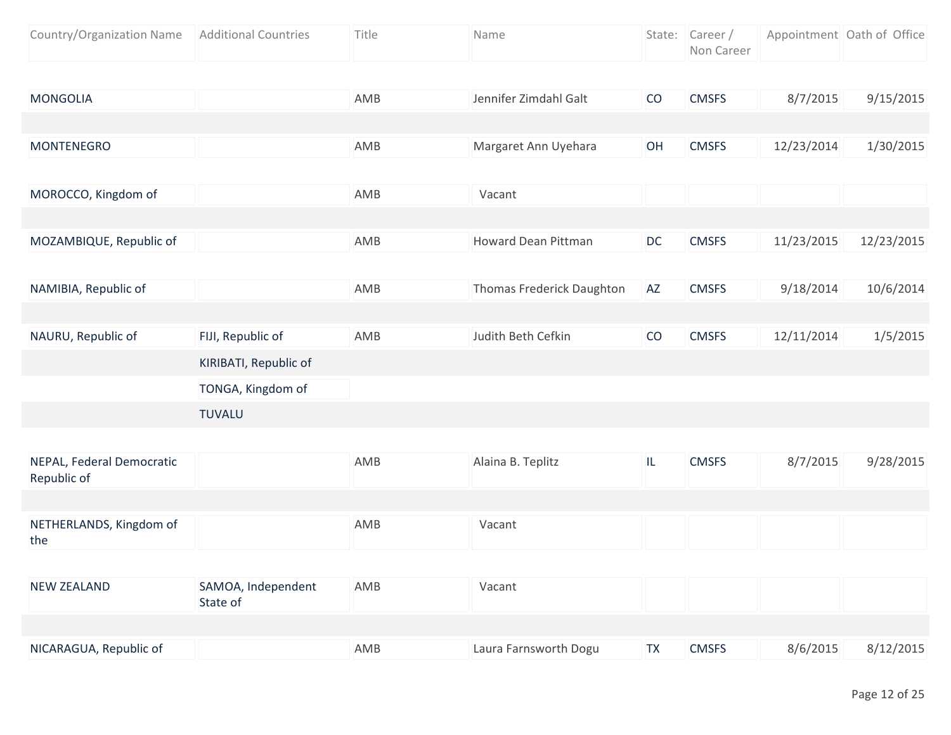| Country/Organization Name | <b>Additional Countries</b> | Title | Name                       | State:    | Career /<br>Non Career |            | Appointment Oath of Office |
|---------------------------|-----------------------------|-------|----------------------------|-----------|------------------------|------------|----------------------------|
|                           |                             |       |                            |           |                        |            |                            |
| <b>MONGOLIA</b>           |                             | AMB   | Jennifer Zimdahl Galt      | CO        | <b>CMSFS</b>           | 8/7/2015   | 9/15/2015                  |
|                           |                             |       |                            |           |                        |            |                            |
| <b>MONTENEGRO</b>         |                             | AMB   | Margaret Ann Uyehara       | OH        | <b>CMSFS</b>           | 12/23/2014 | 1/30/2015                  |
|                           |                             |       |                            |           |                        |            |                            |
| MOROCCO, Kingdom of       |                             | AMB   | Vacant                     |           |                        |            |                            |
|                           |                             |       |                            |           |                        |            |                            |
| MOZAMBIQUE, Republic of   |                             | AMB   | <b>Howard Dean Pittman</b> | <b>DC</b> | <b>CMSFS</b>           | 11/23/2015 | 12/23/2015                 |
|                           |                             |       |                            |           |                        |            |                            |
| NAMIBIA, Republic of      |                             | AMB   | Thomas Frederick Daughton  | AZ        | <b>CMSFS</b>           | 9/18/2014  | 10/6/2014                  |
|                           |                             |       |                            |           |                        |            |                            |
| NAURU, Republic of        | FIJI, Republic of           | AMB   | Judith Beth Cefkin         | CO        | <b>CMSFS</b>           | 12/11/2014 | 1/5/2015                   |
|                           | KIRIBATI, Republic of       |       |                            |           |                        |            |                            |
|                           | TONGA, Kingdom of           |       |                            |           |                        |            |                            |
|                           | <b>TUVALU</b>               |       |                            |           |                        |            |                            |

| NEPAL, Federal Democratic<br>Republic of |                                | AMB | Alaina B. Teplitz     | IL        | <b>CMSFS</b> | 8/7/2015 | 9/28/2015 |
|------------------------------------------|--------------------------------|-----|-----------------------|-----------|--------------|----------|-----------|
|                                          |                                |     |                       |           |              |          |           |
| NETHERLANDS, Kingdom of<br>the           |                                | AMB | Vacant                |           |              |          |           |
|                                          |                                |     |                       |           |              |          |           |
| <b>NEW ZEALAND</b>                       | SAMOA, Independent<br>State of | AMB | Vacant                |           |              |          |           |
|                                          |                                |     |                       |           |              |          |           |
| NICARAGUA, Republic of                   |                                | AMB | Laura Farnsworth Dogu | <b>TX</b> | <b>CMSFS</b> | 8/6/2015 | 8/12/2015 |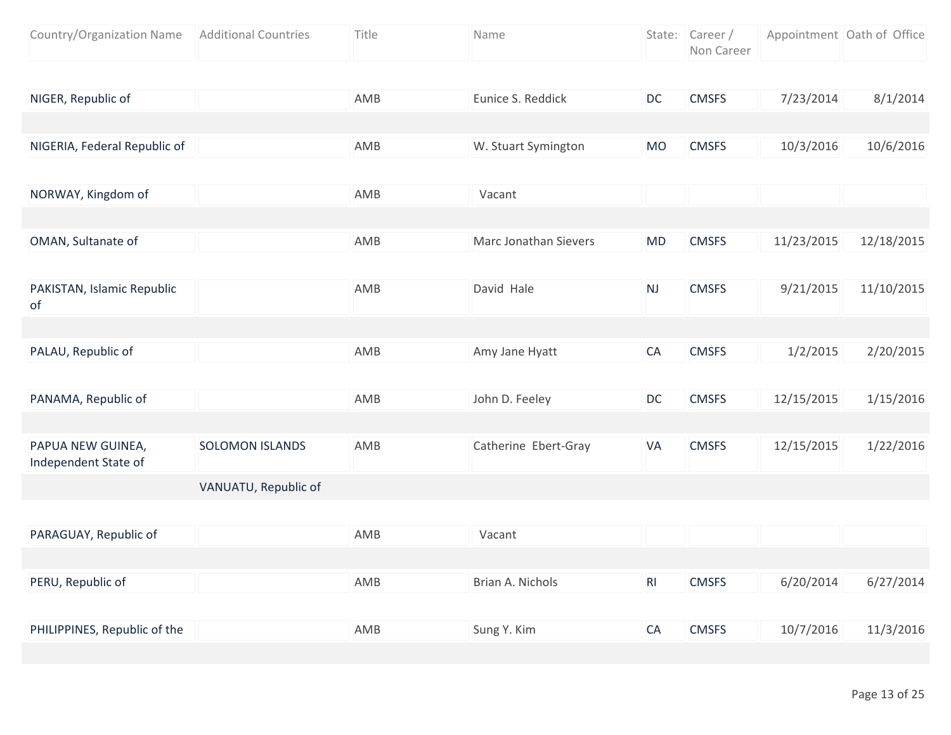| Country/Organization Name                 | <b>Additional Countries</b> | Title | Name                         |           | State: Career /<br>Non Career |            | Appointment Oath of Office |
|-------------------------------------------|-----------------------------|-------|------------------------------|-----------|-------------------------------|------------|----------------------------|
|                                           |                             |       |                              |           |                               |            |                            |
| NIGER, Republic of                        |                             | AMB   | Eunice S. Reddick            | DC        | <b>CMSFS</b>                  | 7/23/2014  | 8/1/2014                   |
|                                           |                             |       |                              |           |                               |            |                            |
| NIGERIA, Federal Republic of              |                             | AMB   | W. Stuart Symington          | <b>MO</b> | <b>CMSFS</b>                  | 10/3/2016  | 10/6/2016                  |
|                                           |                             |       |                              |           |                               |            |                            |
| NORWAY, Kingdom of                        |                             | AMB   | Vacant                       |           |                               |            |                            |
|                                           |                             |       |                              |           |                               |            |                            |
| OMAN, Sultanate of                        |                             | AMB   | <b>Marc Jonathan Sievers</b> | <b>MD</b> | <b>CMSFS</b>                  | 11/23/2015 | 12/18/2015                 |
|                                           |                             |       |                              |           |                               |            |                            |
| PAKISTAN, Islamic Republic<br>of          |                             | AMB   | David Hale                   | <b>NJ</b> | <b>CMSFS</b>                  | 9/21/2015  | 11/10/2015                 |
|                                           |                             |       |                              |           |                               |            |                            |
| PALAU, Republic of                        |                             | AMB   | Amy Jane Hyatt               | CA        | <b>CMSFS</b>                  | 1/2/2015   | 2/20/2015                  |
|                                           |                             |       |                              |           |                               |            |                            |
| PANAMA, Republic of                       |                             | AMB   | John D. Feeley               | DC        | <b>CMSFS</b>                  | 12/15/2015 | 1/15/2016                  |
|                                           |                             |       |                              |           |                               |            |                            |
| PAPUA NEW GUINEA,<br>Independent State of | <b>SOLOMON ISLANDS</b>      | AMB   | Catherine Ebert-Gray         | VA        | <b>CMSFS</b>                  | 12/15/2015 | 1/22/2016                  |
|                                           | VANUATU, Republic of        |       |                              |           |                               |            |                            |
|                                           |                             |       |                              |           |                               |            |                            |
| PARAGUAY, Republic of                     |                             | AMB   | Vacant                       |           |                               |            |                            |
|                                           |                             |       |                              |           |                               |            |                            |
| PERU, Republic of                         |                             | AMB   | Brian A. Nichols             | RI        | <b>CMSFS</b>                  | 6/20/2014  | 6/27/2014                  |
|                                           |                             |       |                              |           |                               |            |                            |
| PHILIPPINES, Republic of the              |                             | AMB   | Sung Y. Kim                  | CA        | <b>CMSFS</b>                  | 10/7/2016  | 11/3/2016                  |
|                                           |                             |       |                              |           |                               |            |                            |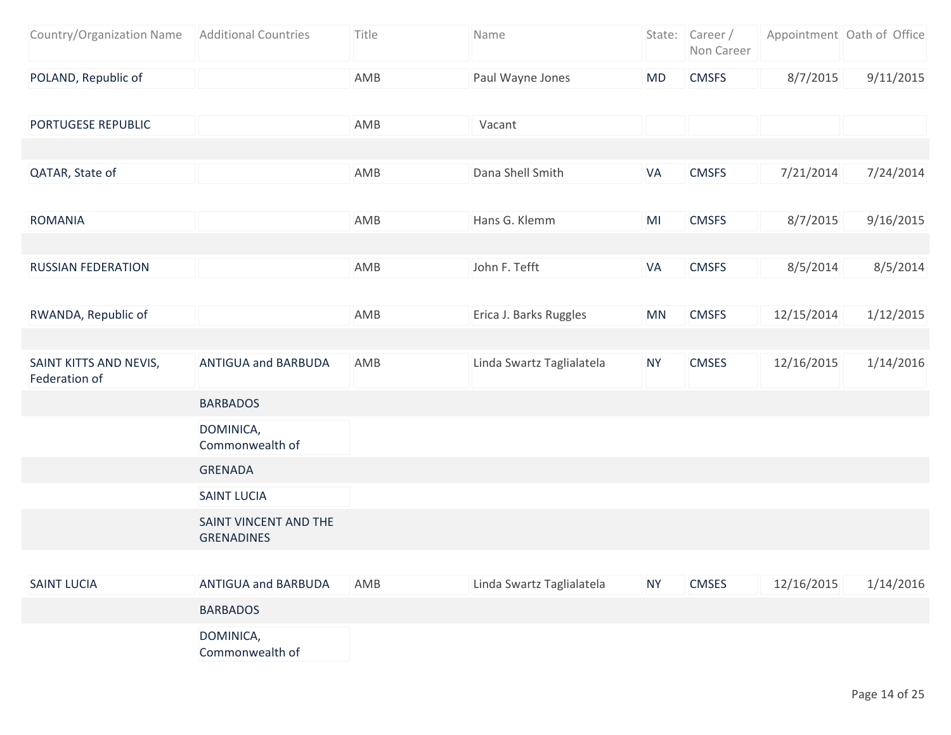| Country/Organization Name   Additional Countries | Title | Name             |     | State: Career/<br>Non Career |          | Appointment Oath of Office |
|--------------------------------------------------|-------|------------------|-----|------------------------------|----------|----------------------------|
| POLAND, Republic of                              | AMB   | Paul Wayne Jones | MD. | <b>CMSFS</b>                 | 8/7/2015 | 9/11/2015                  |

| PORTUGESE REPUBLIC                      |                                            | AMB | Vacant                    |           |              |            |           |
|-----------------------------------------|--------------------------------------------|-----|---------------------------|-----------|--------------|------------|-----------|
|                                         |                                            |     |                           |           |              |            |           |
| QATAR, State of                         |                                            | AMB | Dana Shell Smith          | VA        | <b>CMSFS</b> | 7/21/2014  | 7/24/2014 |
|                                         |                                            |     |                           |           |              |            |           |
| <b>ROMANIA</b>                          |                                            | AMB | Hans G. Klemm             | MI        | <b>CMSFS</b> | 8/7/2015   | 9/16/2015 |
|                                         |                                            |     |                           |           |              |            |           |
| <b>RUSSIAN FEDERATION</b>               |                                            | AMB | John F. Tefft             | VA        | <b>CMSFS</b> | 8/5/2014   | 8/5/2014  |
|                                         |                                            |     |                           |           |              |            |           |
| RWANDA, Republic of                     |                                            | AMB | Erica J. Barks Ruggles    | <b>MN</b> | <b>CMSFS</b> | 12/15/2014 | 1/12/2015 |
|                                         |                                            |     |                           |           |              |            |           |
| SAINT KITTS AND NEVIS,<br>Federation of | <b>ANTIGUA and BARBUDA</b>                 | AMB | Linda Swartz Taglialatela | <b>NY</b> | <b>CMSES</b> | 12/16/2015 | 1/14/2016 |
|                                         | <b>BARBADOS</b>                            |     |                           |           |              |            |           |
|                                         | DOMINICA,<br>Commonwealth of               |     |                           |           |              |            |           |
|                                         | <b>GRENADA</b>                             |     |                           |           |              |            |           |
|                                         | <b>SAINT LUCIA</b>                         |     |                           |           |              |            |           |
|                                         | SAINT VINCENT AND THE<br><b>GRENADINES</b> |     |                           |           |              |            |           |
|                                         |                                            |     |                           |           |              |            |           |
| <b>SAINT LUCIA</b>                      | <b>ANTIGUA and BARBUDA</b>                 | AMB | Linda Swartz Taglialatela | <b>NY</b> | <b>CMSES</b> | 12/16/2015 | 1/14/2016 |
|                                         | <b>BARBADOS</b>                            |     |                           |           |              |            |           |
|                                         | DOMINICA,<br>Commonwealth of               |     |                           |           |              |            |           |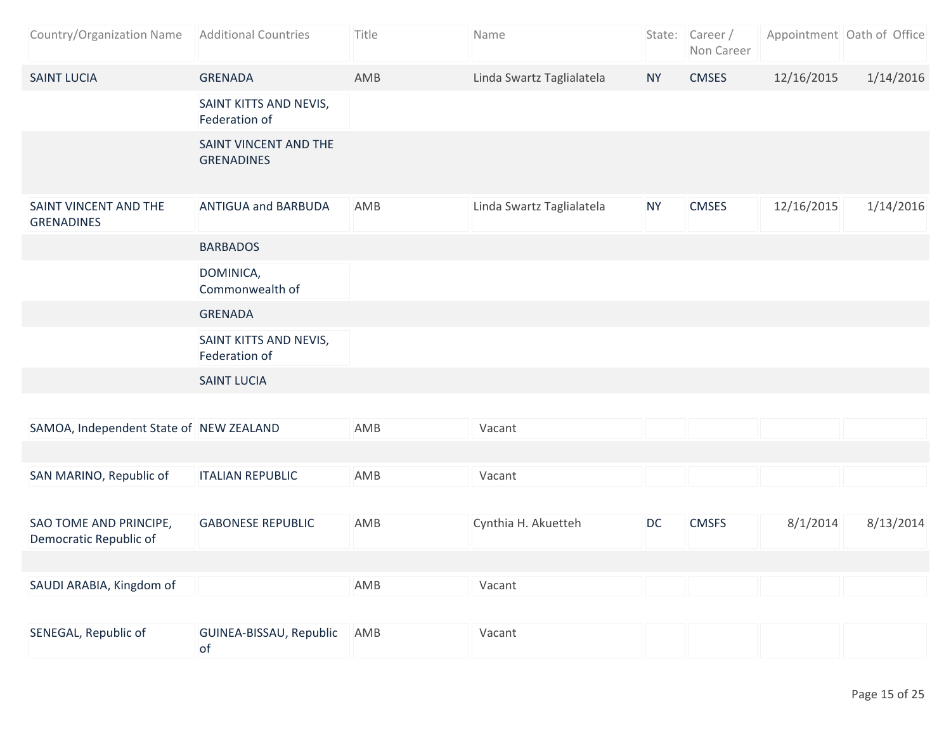| Country/Organization Name                        | <b>Additional Countries</b>                | Title | Name                      |           | State: Career/<br>Non Career |            | Appointment Oath of Office |
|--------------------------------------------------|--------------------------------------------|-------|---------------------------|-----------|------------------------------|------------|----------------------------|
| <b>SAINT LUCIA</b>                               | <b>GRENADA</b>                             | AMB   | Linda Swartz Taglialatela | <b>NY</b> | <b>CMSES</b>                 | 12/16/2015 | 1/14/2016                  |
|                                                  | SAINT KITTS AND NEVIS,<br>Federation of    |       |                           |           |                              |            |                            |
|                                                  | SAINT VINCENT AND THE<br><b>GRENADINES</b> |       |                           |           |                              |            |                            |
| SAINT VINCENT AND THE<br><b>GRENADINES</b>       | <b>ANTIGUA and BARBUDA</b>                 | AMB   | Linda Swartz Taglialatela | <b>NY</b> | <b>CMSES</b>                 | 12/16/2015 | 1/14/2016                  |
|                                                  | <b>BARBADOS</b>                            |       |                           |           |                              |            |                            |
|                                                  | DOMINICA,<br>Commonwealth of               |       |                           |           |                              |            |                            |
|                                                  | <b>GRENADA</b>                             |       |                           |           |                              |            |                            |
|                                                  | SAINT KITTS AND NEVIS,<br>Federation of    |       |                           |           |                              |            |                            |
|                                                  | <b>SAINT LUCIA</b>                         |       |                           |           |                              |            |                            |
|                                                  |                                            |       |                           |           |                              |            |                            |
| SAMOA, Independent State of NEW ZEALAND          |                                            | AMB   | Vacant                    |           |                              |            |                            |
|                                                  |                                            |       |                           |           |                              |            |                            |
| SAN MARINO, Republic of                          | <b>ITALIAN REPUBLIC</b>                    | AMB   | Vacant                    |           |                              |            |                            |
|                                                  |                                            |       |                           |           |                              |            |                            |
| SAO TOME AND PRINCIPE,<br>Democratic Republic of | <b>GABONESE REPUBLIC</b>                   | AMB   | Cynthia H. Akuetteh       | <b>DC</b> | <b>CMSFS</b>                 | 8/1/2014   | 8/13/2014                  |
|                                                  |                                            |       |                           |           |                              |            |                            |
| SAUDI ARABIA, Kingdom of                         |                                            | AMB   | Vacant                    |           |                              |            |                            |
|                                                  |                                            |       |                           |           |                              |            |                            |
| SENEGAL, Republic of                             | GUINEA-BISSAU, Republic<br>of              | AMB   | Vacant                    |           |                              |            |                            |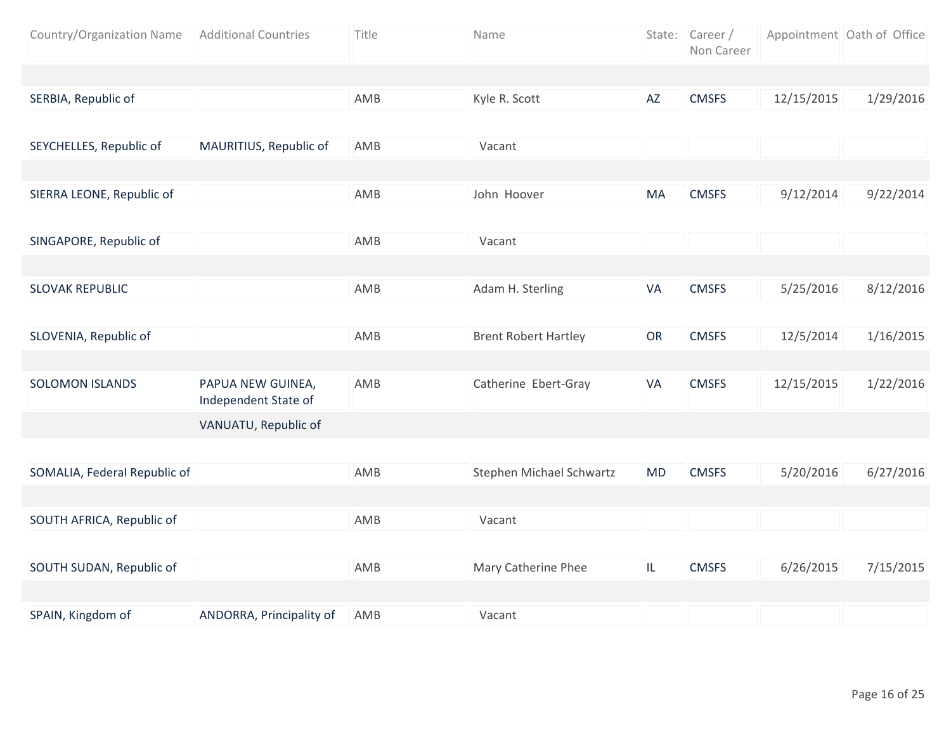| Country/Organization Name    | <b>Additional Countries</b>               | Title | Name                        |           | State: Career /<br>Non Career |            | Appointment Oath of Office |
|------------------------------|-------------------------------------------|-------|-----------------------------|-----------|-------------------------------|------------|----------------------------|
|                              |                                           |       |                             |           |                               |            |                            |
| SERBIA, Republic of          |                                           | AMB   | Kyle R. Scott               | AZ        | <b>CMSFS</b>                  | 12/15/2015 | 1/29/2016                  |
|                              |                                           |       |                             |           |                               |            |                            |
| SEYCHELLES, Republic of      | MAURITIUS, Republic of                    | AMB   | Vacant                      |           |                               |            |                            |
|                              |                                           |       |                             |           |                               |            |                            |
| SIERRA LEONE, Republic of    |                                           | AMB   | John Hoover                 | MA        | <b>CMSFS</b>                  | 9/12/2014  | 9/22/2014                  |
|                              |                                           |       |                             |           |                               |            |                            |
| SINGAPORE, Republic of       |                                           | AMB   | Vacant                      |           |                               |            |                            |
|                              |                                           |       |                             |           |                               |            |                            |
| <b>SLOVAK REPUBLIC</b>       |                                           | AMB   | Adam H. Sterling            | VA        | <b>CMSFS</b>                  | 5/25/2016  | 8/12/2016                  |
|                              |                                           |       |                             |           |                               |            |                            |
| SLOVENIA, Republic of        |                                           | AMB   | <b>Brent Robert Hartley</b> | OR        | <b>CMSFS</b>                  | 12/5/2014  | 1/16/2015                  |
|                              |                                           |       |                             |           |                               |            |                            |
| <b>SOLOMON ISLANDS</b>       | PAPUA NEW GUINEA,<br>Independent State of | AMB   | Catherine Ebert-Gray        | VA        | <b>CMSFS</b>                  | 12/15/2015 | 1/22/2016                  |
|                              | VANUATU, Republic of                      |       |                             |           |                               |            |                            |
|                              |                                           |       |                             |           |                               |            |                            |
| SOMALIA, Federal Republic of |                                           | AMB   | Stephen Michael Schwartz    | <b>MD</b> | <b>CMSFS</b>                  | 5/20/2016  | 6/27/2016                  |
|                              |                                           |       |                             |           |                               |            |                            |
| SOUTH AFRICA, Republic of    |                                           | AMB   | Vacant                      |           |                               |            |                            |
|                              |                                           |       |                             |           |                               |            |                            |
| SOUTH SUDAN, Republic of     |                                           | AMB   | Mary Catherine Phee         | IL.       | <b>CMSFS</b>                  | 6/26/2015  | 7/15/2015                  |
|                              |                                           |       |                             |           |                               |            |                            |
| SPAIN, Kingdom of            | ANDORRA, Principality of                  | AMB   | Vacant                      |           |                               |            |                            |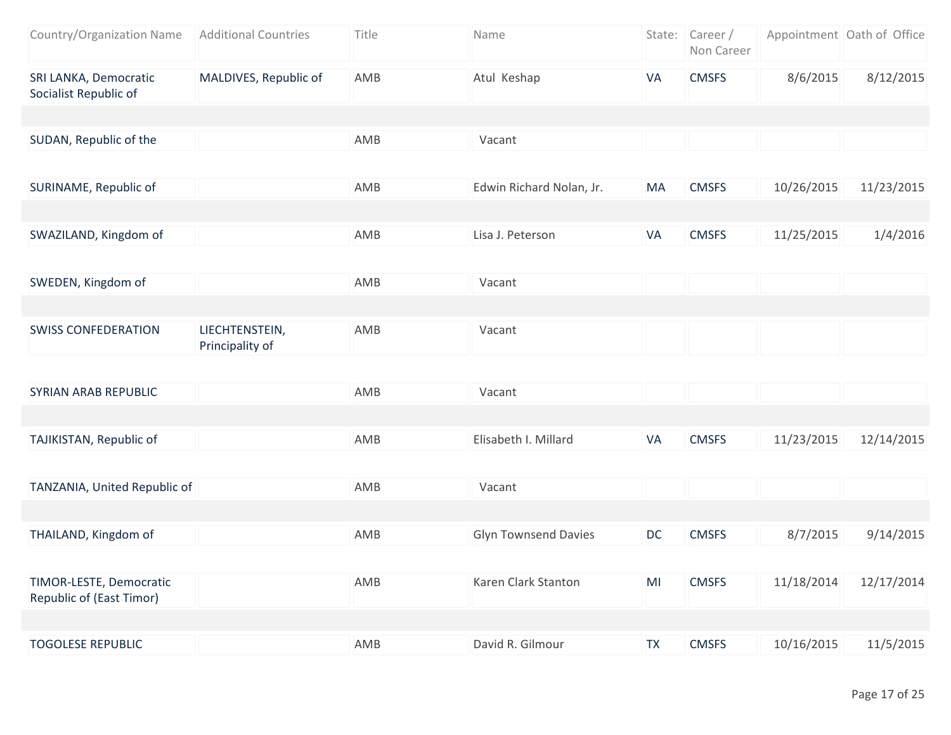| Country/Organization Name                           | <b>Additional Countries</b>       | Title | Name                        |           | State: Career /<br>Non Career |            | Appointment Oath of Office |
|-----------------------------------------------------|-----------------------------------|-------|-----------------------------|-----------|-------------------------------|------------|----------------------------|
| SRI LANKA, Democratic<br>Socialist Republic of      | MALDIVES, Republic of             | AMB   | Atul Keshap                 | VA        | <b>CMSFS</b>                  | 8/6/2015   | 8/12/2015                  |
|                                                     |                                   |       |                             |           |                               |            |                            |
| SUDAN, Republic of the                              |                                   | AMB   | Vacant                      |           |                               |            |                            |
| SURINAME, Republic of                               |                                   | AMB   | Edwin Richard Nolan, Jr.    | MA        | <b>CMSFS</b>                  | 10/26/2015 | 11/23/2015                 |
| SWAZILAND, Kingdom of                               |                                   | AMB   | Lisa J. Peterson            | VA        | <b>CMSFS</b>                  | 11/25/2015 | 1/4/2016                   |
| SWEDEN, Kingdom of                                  |                                   | AMB   | Vacant                      |           |                               |            |                            |
|                                                     |                                   |       |                             |           |                               |            |                            |
| <b>SWISS CONFEDERATION</b>                          | LIECHTENSTEIN,<br>Principality of | AMB   | Vacant                      |           |                               |            |                            |
|                                                     |                                   |       |                             |           |                               |            |                            |
| SYRIAN ARAB REPUBLIC                                |                                   | AMB   | Vacant                      |           |                               |            |                            |
| TAJIKISTAN, Republic of                             |                                   | AMB   | Elisabeth I. Millard        | VA        | <b>CMSFS</b>                  | 11/23/2015 | 12/14/2015                 |
| TANZANIA, United Republic of                        |                                   | AMB   | Vacant                      |           |                               |            |                            |
|                                                     |                                   |       |                             |           |                               |            |                            |
| THAILAND, Kingdom of                                |                                   | AMB   | <b>Glyn Townsend Davies</b> | DC        | <b>CMSFS</b>                  | 8/7/2015   | 9/14/2015                  |
| TIMOR-LESTE, Democratic<br>Republic of (East Timor) |                                   | AMB   | Karen Clark Stanton         | MI        | <b>CMSFS</b>                  | 11/18/2014 | 12/17/2014                 |
|                                                     |                                   |       |                             |           |                               |            |                            |
| <b>TOGOLESE REPUBLIC</b>                            |                                   | AMB   | David R. Gilmour            | <b>TX</b> | <b>CMSFS</b>                  | 10/16/2015 | 11/5/2015                  |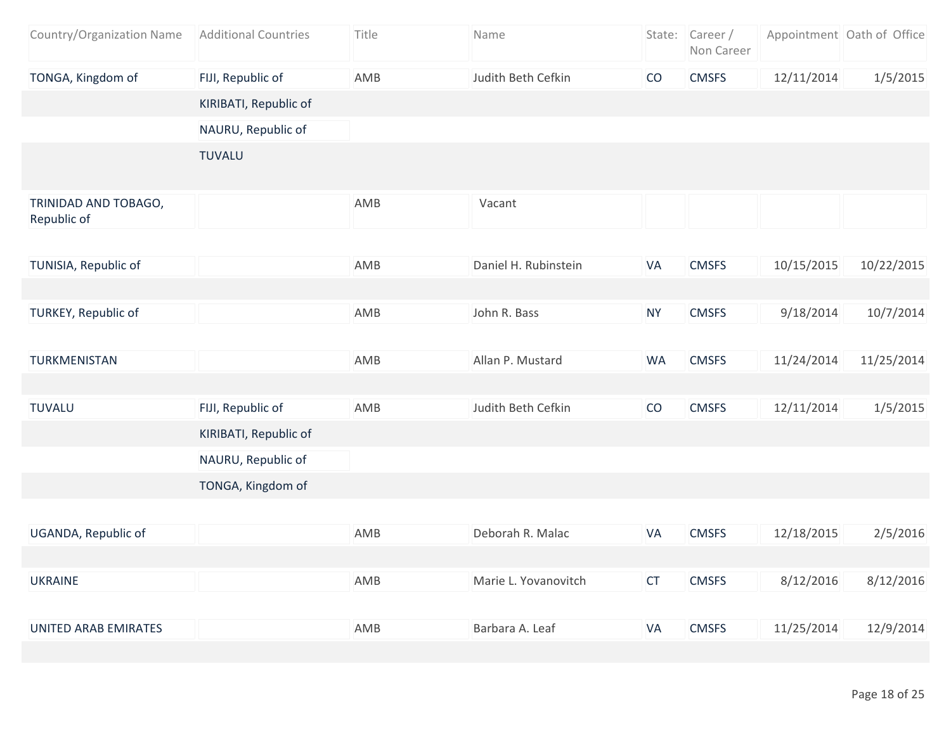| Country/Organization Name           | <b>Additional Countries</b> | Title | Name                 |           | State: Career/<br>Non Career |            | Appointment Oath of Office |
|-------------------------------------|-----------------------------|-------|----------------------|-----------|------------------------------|------------|----------------------------|
| TONGA, Kingdom of                   | FIJI, Republic of           | AMB   | Judith Beth Cefkin   | CO        | <b>CMSFS</b>                 | 12/11/2014 | 1/5/2015                   |
|                                     | KIRIBATI, Republic of       |       |                      |           |                              |            |                            |
|                                     | NAURU, Republic of          |       |                      |           |                              |            |                            |
|                                     | <b>TUVALU</b>               |       |                      |           |                              |            |                            |
| TRINIDAD AND TOBAGO,<br>Republic of |                             | AMB   | Vacant               |           |                              |            |                            |
| TUNISIA, Republic of                |                             | AMB   | Daniel H. Rubinstein | VA        | <b>CMSFS</b>                 | 10/15/2015 | 10/22/2015                 |
|                                     |                             |       |                      |           |                              |            |                            |
| <b>TURKEY, Republic of</b>          |                             | AMB   | John R. Bass         | <b>NY</b> | <b>CMSFS</b>                 | 9/18/2014  | 10/7/2014                  |
|                                     |                             |       |                      |           |                              |            |                            |
| TURKMENISTAN                        |                             | AMB   | Allan P. Mustard     | <b>WA</b> | <b>CMSFS</b>                 | 11/24/2014 | 11/25/2014                 |
|                                     |                             |       |                      |           |                              |            |                            |
| <b>TUVALU</b>                       | FIJI, Republic of           | AMB   | Judith Beth Cefkin   | CO        | <b>CMSFS</b>                 | 12/11/2014 | 1/5/2015                   |
|                                     | KIRIBATI, Republic of       |       |                      |           |                              |            |                            |
|                                     | NAURU, Republic of          |       |                      |           |                              |            |                            |
|                                     | TONGA, Kingdom of           |       |                      |           |                              |            |                            |
|                                     |                             |       |                      |           |                              |            |                            |
| UGANDA, Republic of                 |                             | AMB   | Deborah R. Malac     | VA        | <b>CMSFS</b>                 | 12/18/2015 | 2/5/2016                   |
|                                     |                             |       |                      |           |                              |            |                            |
| <b>UKRAINE</b>                      |                             | AMB   | Marie L. Yovanovitch | <b>CT</b> | <b>CMSFS</b>                 | 8/12/2016  | 8/12/2016                  |
|                                     |                             |       |                      |           |                              |            |                            |
| UNITED ARAB EMIRATES                |                             | AMB   | Barbara A. Leaf      | <b>VA</b> | <b>CMSFS</b>                 | 11/25/2014 | 12/9/2014                  |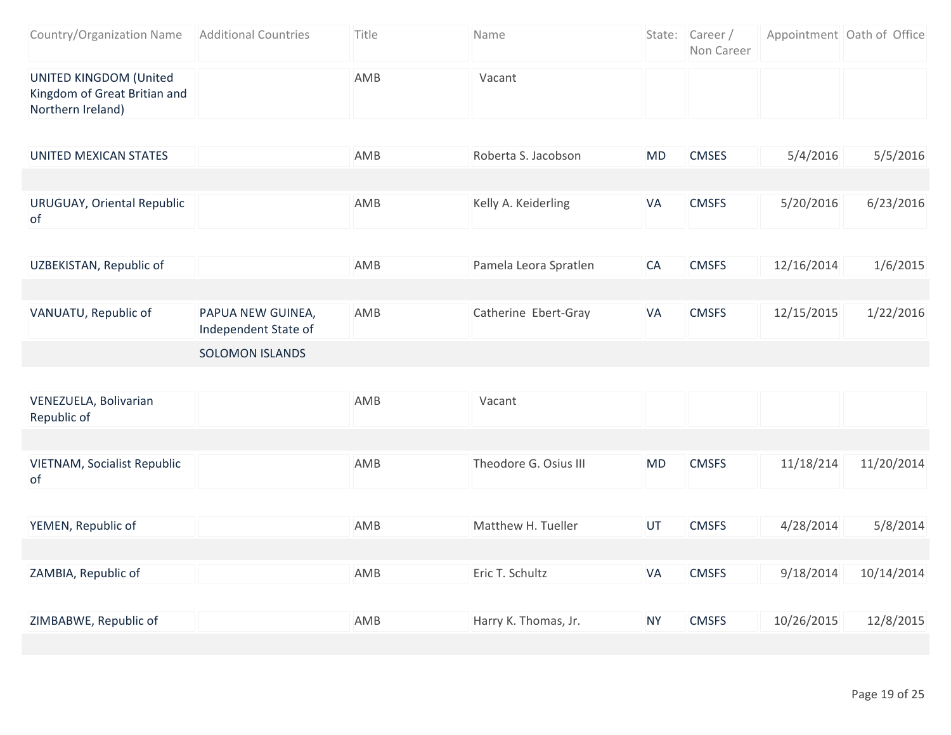| Country/Organization Name   Additional Countries                            | Title | <b>Name</b> | State: Career/<br>Non Career | Appointment Oath of Office |
|-----------------------------------------------------------------------------|-------|-------------|------------------------------|----------------------------|
| UNITED KINGDOM (United<br>Kingdom of Great Britian and<br>Northern Ireland) | AMB   | Vacant      |                              |                            |

| UNITED MEXICAN STATES                          | AMB | Roberta S. Jacobson   | MD | 5/4/2016<br><b>CMSES</b>   | 5/5/2016  |
|------------------------------------------------|-----|-----------------------|----|----------------------------|-----------|
|                                                |     |                       |    |                            |           |
| <b>URUGUAY, Oriental Republic</b><br><b>of</b> | AMB | Kelly A. Keiderling   | VA | 5/20/2016<br><b>CMSFS</b>  | 6/23/2016 |
|                                                |     |                       |    |                            |           |
| UZBEKISTAN, Republic of                        | AMB | Pamela Leora Spratlen | CA | 12/16/2014<br><b>CMSFS</b> | 1/6/2015  |

| VANUATU, Republic of | PAPUA NEW GUINEA,<br>Independent State of | AMB | Catherine Ebert-Gray | <b>VA</b> | <b>CMSFS</b> | 12/15/2015 | 1/22/2016 |
|----------------------|-------------------------------------------|-----|----------------------|-----------|--------------|------------|-----------|
|                      | SOLOMON ISLANDS                           |     |                      |           |              |            |           |

| VENEZUELA, Bolivarian<br>Republic of     | AMB | Vacant                |           |              |            |            |
|------------------------------------------|-----|-----------------------|-----------|--------------|------------|------------|
|                                          |     |                       |           |              |            |            |
| <b>VIETNAM, Socialist Republic</b><br>of | AMB | Theodore G. Osius III | <b>MD</b> | <b>CMSFS</b> | 11/18/214  | 11/20/2014 |
|                                          |     |                       |           |              |            |            |
| YEMEN, Republic of                       | AMB | Matthew H. Tueller    | UT        | <b>CMSFS</b> | 4/28/2014  | 5/8/2014   |
|                                          |     |                       |           |              |            |            |
| ZAMBIA, Republic of                      | AMB | Eric T. Schultz       | <b>VA</b> | <b>CMSFS</b> | 9/18/2014  | 10/14/2014 |
|                                          |     |                       |           |              |            |            |
| ZIMBABWE, Republic of                    | AMB | Harry K. Thomas, Jr.  | <b>NY</b> | <b>CMSFS</b> | 10/26/2015 | 12/8/2015  |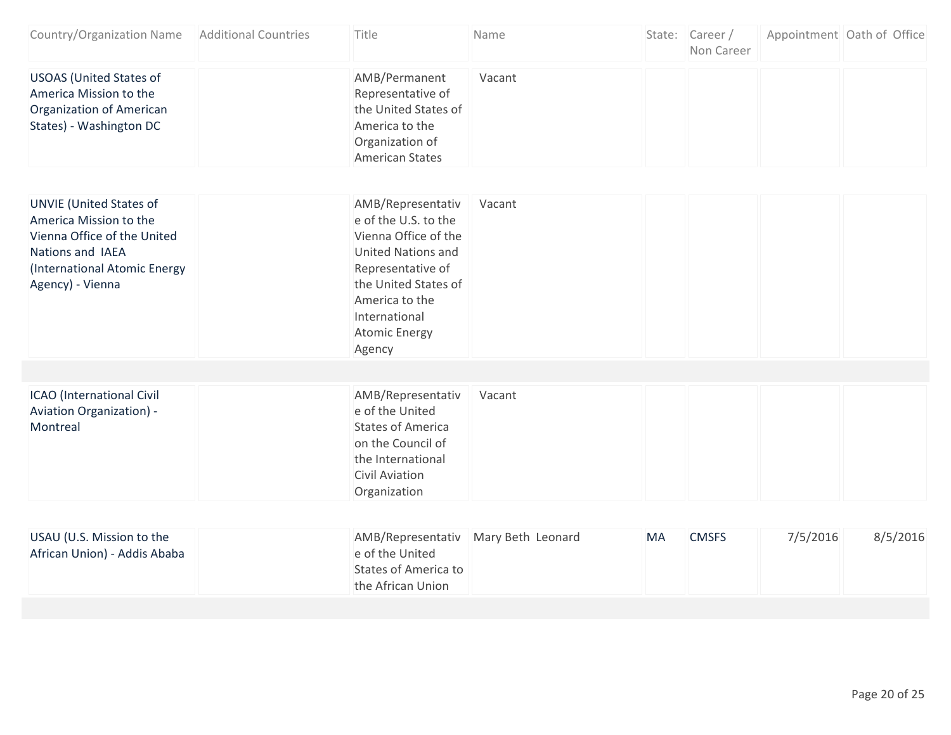| Country/Organization Name                                                                                                                                       | <b>Additional Countries</b> | Title                                                                                                                                                                                                            | Name   |            | State: Career/<br>Non Career |          | Appointment Oath of Office |
|-----------------------------------------------------------------------------------------------------------------------------------------------------------------|-----------------------------|------------------------------------------------------------------------------------------------------------------------------------------------------------------------------------------------------------------|--------|------------|------------------------------|----------|----------------------------|
| <b>USOAS (United States of</b><br>America Mission to the<br><b>Organization of American</b><br>States) - Washington DC                                          |                             | AMB/Permanent<br>Representative of<br>the United States of<br>America to the<br>Organization of<br><b>American States</b>                                                                                        | Vacant |            |                              |          |                            |
| <b>UNVIE (United States of</b><br>America Mission to the<br>Vienna Office of the United<br>Nations and IAEA<br>(International Atomic Energy<br>Agency) - Vienna |                             | AMB/Representativ<br>e of the U.S. to the<br>Vienna Office of the<br><b>United Nations and</b><br>Representative of<br>the United States of<br>America to the<br>International<br><b>Atomic Energy</b><br>Agency | Vacant |            |                              |          |                            |
| ICAO (International Civil<br><b>Aviation Organization) -</b><br>Montreal                                                                                        |                             | AMB/Representativ<br>e of the United<br><b>States of America</b><br>on the Council of                                                                                                                            | Vacant |            |                              |          |                            |
|                                                                                                                                                                 |                             | the International<br><b>Civil Aviation</b><br>Organization                                                                                                                                                       |        |            |                              |          |                            |
| $110 \text{ All}$ $110 \text{ R}$ $110 \text{ R}$                                                                                                               |                             | ABAD/Depresentative Blogue Data Leonard                                                                                                                                                                          |        | <b>NAN</b> | $C^{\text{N}}$               | 7/7/201C | $0/2$ $(2001C$             |

| USAU (U.S. Mission to the    | AMB/Representativ Mary Beth Leonard | MA | <b>CMSFS</b> | 7/5/2016 | 8/5/2016 |
|------------------------------|-------------------------------------|----|--------------|----------|----------|
| African Union) - Addis Ababa | e of the United                     |    |              |          |          |
|                              | States of America to                |    |              |          |          |
|                              | the African Union                   |    |              |          |          |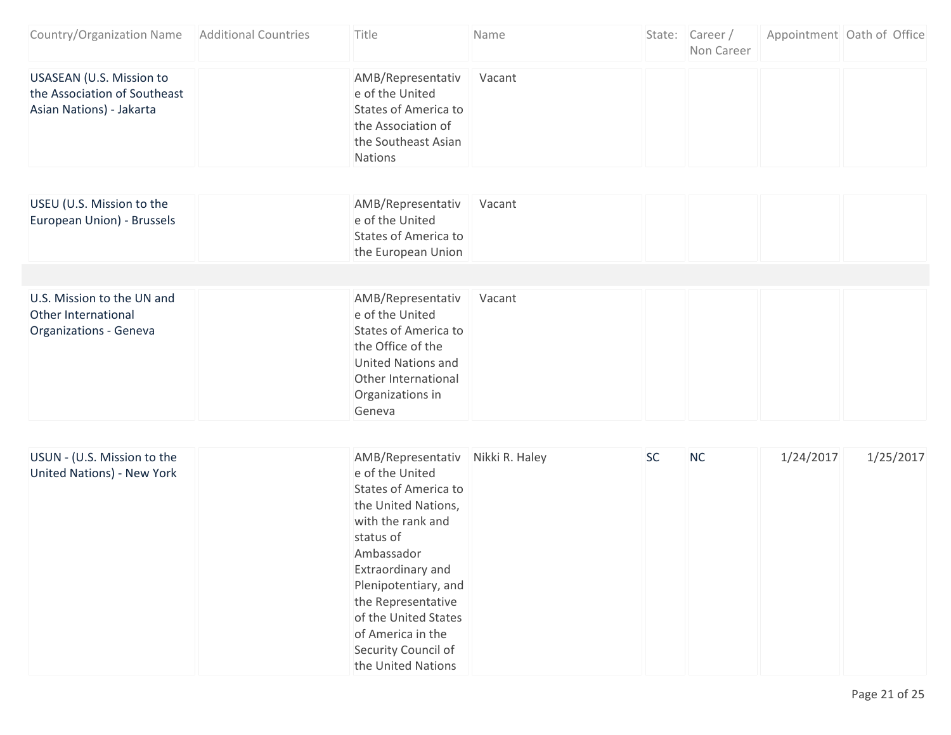| Country/Organization Name Additional Countries                                              | Title                                                                                                                                                                                                                                                                                                                  | Name   |           | State: Career/<br>Non Career | Appointment Oath of Office |           |
|---------------------------------------------------------------------------------------------|------------------------------------------------------------------------------------------------------------------------------------------------------------------------------------------------------------------------------------------------------------------------------------------------------------------------|--------|-----------|------------------------------|----------------------------|-----------|
| <b>USASEAN (U.S. Mission to</b><br>the Association of Southeast<br>Asian Nations) - Jakarta | AMB/Representativ<br>e of the United<br>States of America to<br>the Association of<br>the Southeast Asian<br><b>Nations</b>                                                                                                                                                                                            | Vacant |           |                              |                            |           |
| USEU (U.S. Mission to the                                                                   | AMB/Representativ                                                                                                                                                                                                                                                                                                      | Vacant |           |                              |                            |           |
| European Union) - Brussels                                                                  | e of the United<br><b>States of America to</b><br>the European Union                                                                                                                                                                                                                                                   |        |           |                              |                            |           |
|                                                                                             |                                                                                                                                                                                                                                                                                                                        |        |           |                              |                            |           |
| U.S. Mission to the UN and<br>Other International<br>Organizations - Geneva                 | AMB/Representativ<br>e of the United<br><b>States of America to</b><br>the Office of the<br><b>United Nations and</b><br>Other International<br>Organizations in<br>Geneva                                                                                                                                             | Vacant |           |                              |                            |           |
|                                                                                             |                                                                                                                                                                                                                                                                                                                        |        |           |                              |                            |           |
| USUN - (U.S. Mission to the<br><b>United Nations) - New York</b>                            | AMB/Representativ Nikki R. Haley<br>e of the United<br><b>States of America to</b><br>the United Nations,<br>with the rank and<br>status of<br>Ambassador<br>Extraordinary and<br>Plenipotentiary, and<br>the Representative<br>of the United States<br>of America in the<br>Security Council of<br>the United Nations |        | <b>SC</b> | <b>NC</b>                    | 1/24/2017                  | 1/25/2017 |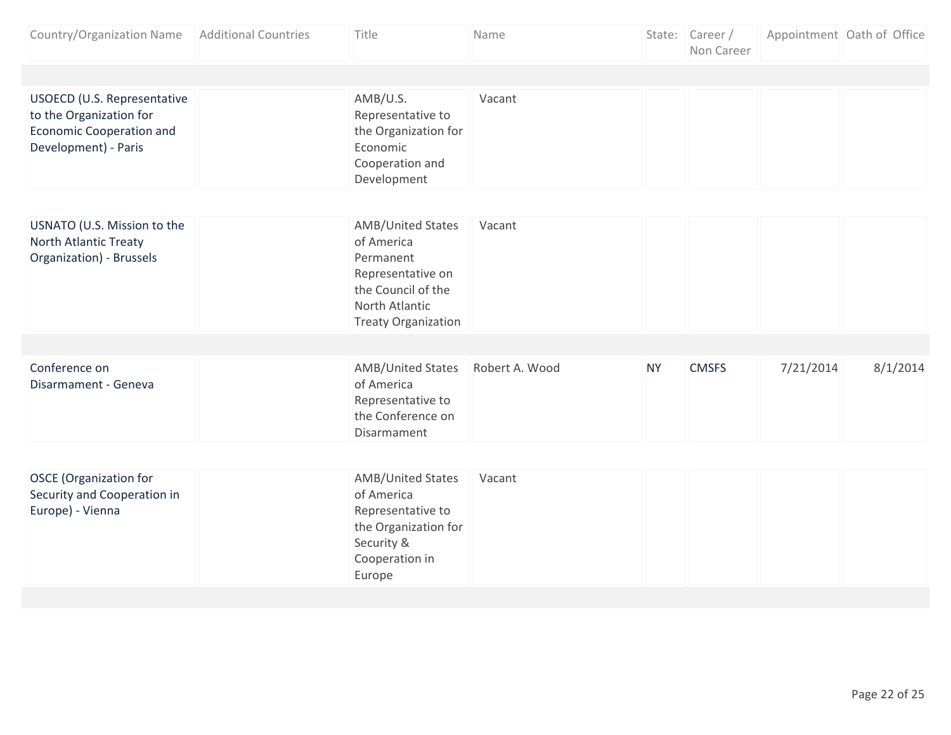| Country/Organization Name                                                                                         | <b>Additional Countries</b> | Title                                                                                                                                          | Name           |           | State: Career/<br>Non Career |           | Appointment Oath of Office |
|-------------------------------------------------------------------------------------------------------------------|-----------------------------|------------------------------------------------------------------------------------------------------------------------------------------------|----------------|-----------|------------------------------|-----------|----------------------------|
|                                                                                                                   |                             |                                                                                                                                                |                |           |                              |           |                            |
| USOECD (U.S. Representative<br>to the Organization for<br><b>Economic Cooperation and</b><br>Development) - Paris |                             | AMB/U.S.<br>Representative to<br>the Organization for<br>Economic<br>Cooperation and<br>Development                                            | Vacant         |           |                              |           |                            |
|                                                                                                                   |                             |                                                                                                                                                |                |           |                              |           |                            |
| USNATO (U.S. Mission to the<br>North Atlantic Treaty<br>Organization) - Brussels                                  |                             | <b>AMB/United States</b><br>of America<br>Permanent<br>Representative on<br>the Council of the<br>North Atlantic<br><b>Treaty Organization</b> | Vacant         |           |                              |           |                            |
|                                                                                                                   |                             |                                                                                                                                                |                |           |                              |           |                            |
| Conference on<br>Disarmament - Geneva                                                                             |                             | <b>AMB/United States</b><br>of America<br>Representative to<br>the Conference on<br>Disarmament                                                | Robert A. Wood | <b>NY</b> | <b>CMSFS</b>                 | 7/21/2014 | 8/1/2014                   |
|                                                                                                                   |                             |                                                                                                                                                |                |           |                              |           |                            |
| <b>OSCE</b> (Organization for<br>Security and Cooperation in<br>Europe) - Vienna                                  |                             | <b>AMB/United States</b><br>of America<br>Representative to<br>the Organization for<br>Security &<br>Cooperation in<br>Europe                  | Vacant         |           |                              |           |                            |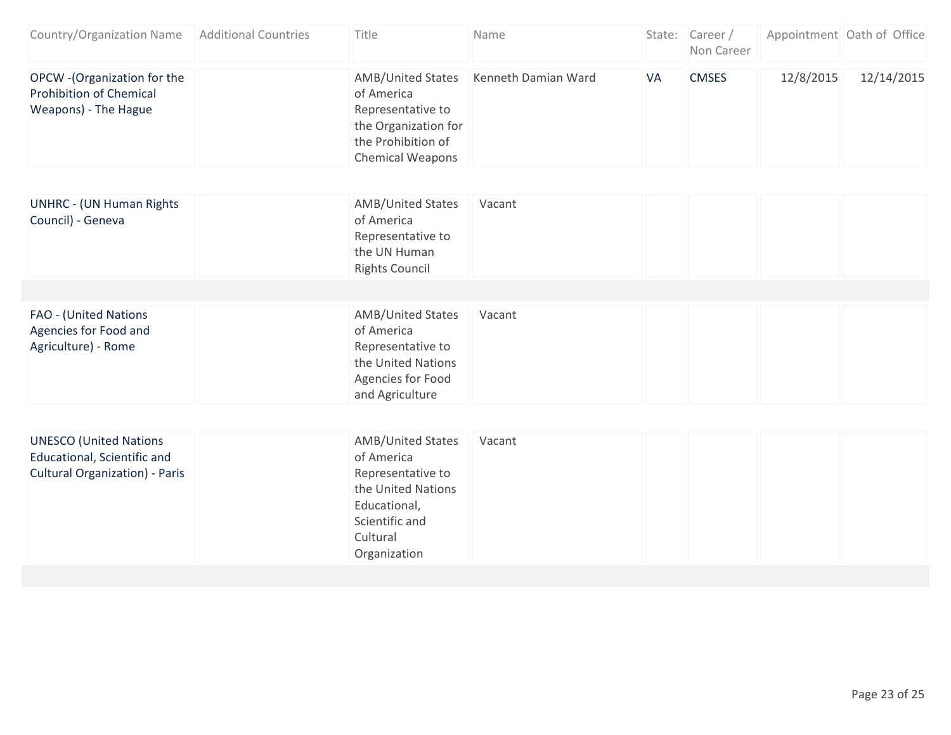| Country/Organization Name                                                                             | <b>Additional Countries</b> | Title                                                                                                                                           | Name                |    | State: Career/<br>Non Career |           | Appointment Oath of Office |
|-------------------------------------------------------------------------------------------------------|-----------------------------|-------------------------------------------------------------------------------------------------------------------------------------------------|---------------------|----|------------------------------|-----------|----------------------------|
| OPCW - (Organization for the<br><b>Prohibition of Chemical</b><br>Weapons) - The Hague                |                             | <b>AMB/United States</b><br>of America<br>Representative to<br>the Organization for<br>the Prohibition of<br><b>Chemical Weapons</b>            | Kenneth Damian Ward | VA | <b>CMSES</b>                 | 12/8/2015 | 12/14/2015                 |
| <b>UNHRC - (UN Human Rights</b>                                                                       |                             | <b>AMB/United States</b>                                                                                                                        | Vacant              |    |                              |           |                            |
| Council) - Geneva                                                                                     |                             | of America<br>Representative to<br>the UN Human<br><b>Rights Council</b>                                                                        |                     |    |                              |           |                            |
|                                                                                                       |                             |                                                                                                                                                 |                     |    |                              |           |                            |
| FAO - (United Nations<br>Agencies for Food and<br>Agriculture) - Rome                                 |                             | <b>AMB/United States</b><br>of America<br>Representative to<br>the United Nations<br>Agencies for Food<br>and Agriculture                       | Vacant              |    |                              |           |                            |
|                                                                                                       |                             |                                                                                                                                                 |                     |    |                              |           |                            |
| <b>UNESCO (United Nations</b><br>Educational, Scientific and<br><b>Cultural Organization) - Paris</b> |                             | <b>AMB/United States</b><br>of America<br>Representative to<br>the United Nations<br>Educational,<br>Scientific and<br>Cultural<br>Organization | Vacant              |    |                              |           |                            |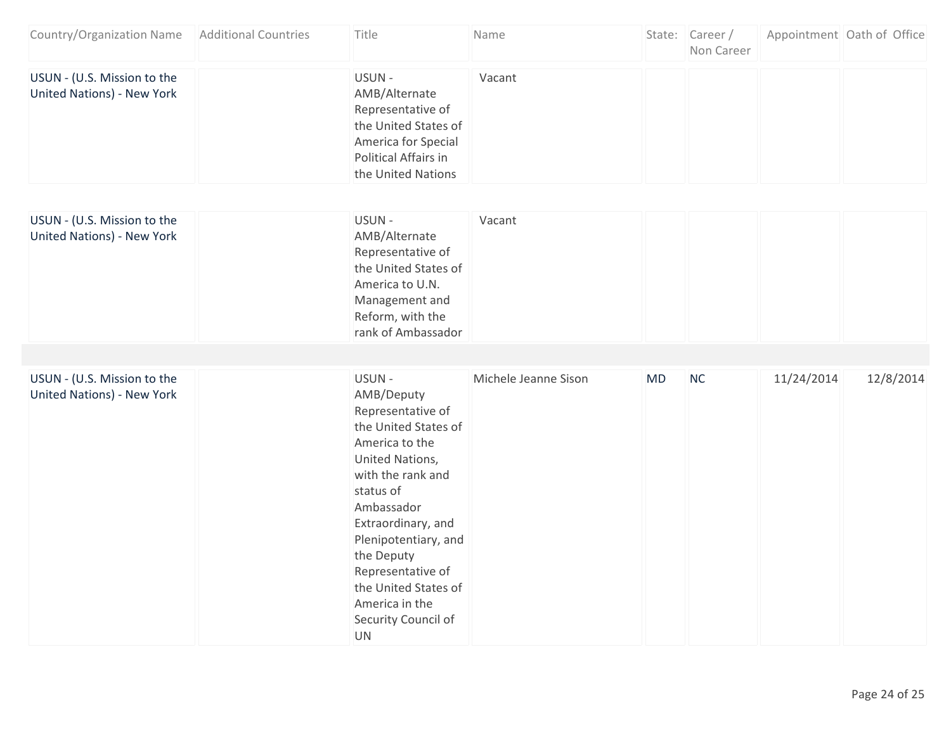| Country/Organization Name                                        | <b>Additional Countries</b> | Title                                                                                                                                                                                                                                                                                                                | Name                 |    | State: Career/<br>Non Career |            | Appointment Oath of Office |
|------------------------------------------------------------------|-----------------------------|----------------------------------------------------------------------------------------------------------------------------------------------------------------------------------------------------------------------------------------------------------------------------------------------------------------------|----------------------|----|------------------------------|------------|----------------------------|
| USUN - (U.S. Mission to the<br><b>United Nations) - New York</b> |                             | USUN-<br>AMB/Alternate<br>Representative of<br>the United States of<br>America for Special<br>Political Affairs in<br>the United Nations                                                                                                                                                                             | Vacant               |    |                              |            |                            |
| USUN - (U.S. Mission to the<br><b>United Nations) - New York</b> |                             | USUN-<br>AMB/Alternate<br>Representative of<br>the United States of<br>America to U.N.<br>Management and<br>Reform, with the<br>rank of Ambassador                                                                                                                                                                   | Vacant               |    |                              |            |                            |
| USUN - (U.S. Mission to the<br><b>United Nations) - New York</b> |                             | USUN-<br>AMB/Deputy<br>Representative of<br>the United States of<br>America to the<br>United Nations,<br>with the rank and<br>status of<br>Ambassador<br>Extraordinary, and<br>Plenipotentiary, and<br>the Deputy<br>Representative of<br>the United States of<br>America in the<br>Security Council of<br><b>UN</b> | Michele Jeanne Sison | MD | NC                           | 11/24/2014 | 12/8/2014                  |